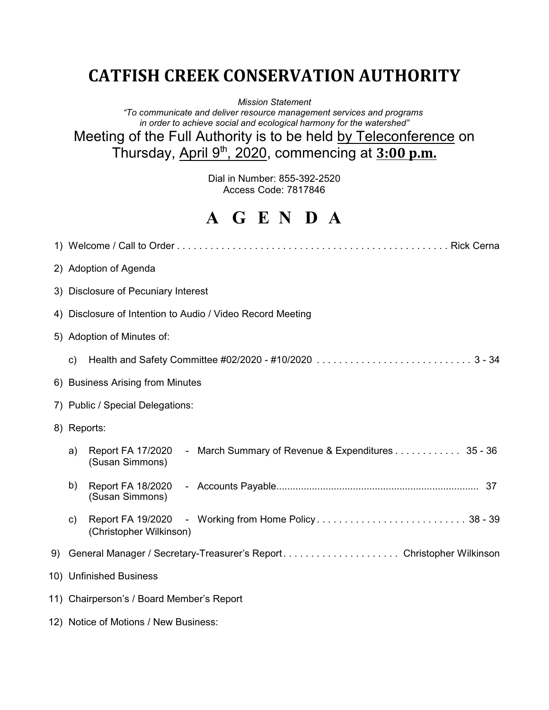# **CATFISH CREEK CONSERVATION AUTHORITY**

*Mission Statement*

*"To communicate and deliver resource management services and programs in order to achieve social and ecological harmony for the watershed"*

Meeting of the Full Authority is to be held by Teleconference on Thursday, April 9th, 2020, commencing at **3:00 p.m.**

> Dial in Number: 855-392-2520 Access Code: 7817846

# **A G E N D A**

| 2) Adoption of Agenda                                                                           |
|-------------------------------------------------------------------------------------------------|
| 3) Disclosure of Pecuniary Interest                                                             |
| 4) Disclosure of Intention to Audio / Video Record Meeting                                      |
| 5) Adoption of Minutes of:                                                                      |
| c)                                                                                              |
| 6) Business Arising from Minutes                                                                |
| 7) Public / Special Delegations:                                                                |
| 8) Reports:                                                                                     |
| - March Summary of Revenue & Expenditures 35 - 36<br>Report FA 17/2020<br>a)<br>(Susan Simmons) |
| b)<br>Report FA 18/2020<br>(Susan Simmons)                                                      |
| c)<br>(Christopher Wilkinson)                                                                   |
| 9) General Manager / Secretary-Treasurer's Report. Christopher Wilkinson                        |
| 10) Unfinished Business                                                                         |
| 11) Chairperson's / Board Member's Report                                                       |
| 12) Notice of Motions / New Business:                                                           |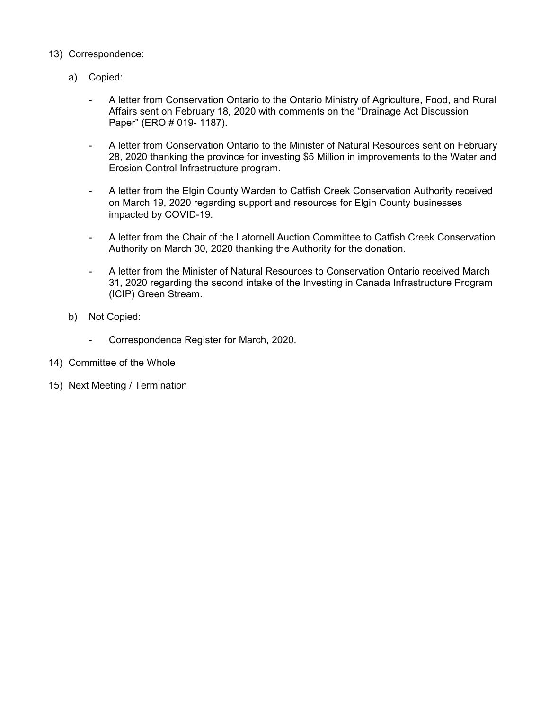- 13) Correspondence:
	- a) Copied:
		- A letter from Conservation Ontario to the Ontario Ministry of Agriculture, Food, and Rural Affairs sent on February 18, 2020 with comments on the "Drainage Act Discussion Paper" (ERO # 019- 1187).
		- A letter from Conservation Ontario to the Minister of Natural Resources sent on February 28, 2020 thanking the province for investing \$5 Million in improvements to the Water and Erosion Control Infrastructure program.
		- A letter from the Elgin County Warden to Catfish Creek Conservation Authority received on March 19, 2020 regarding support and resources for Elgin County businesses impacted by COVID-19.
		- A letter from the Chair of the Latornell Auction Committee to Catfish Creek Conservation Authority on March 30, 2020 thanking the Authority for the donation.
		- A letter from the Minister of Natural Resources to Conservation Ontario received March 31, 2020 regarding the second intake of the Investing in Canada Infrastructure Program (ICIP) Green Stream.
	- b) Not Copied:
		- Correspondence Register for March, 2020.
- 14) Committee of the Whole
- 15) Next Meeting / Termination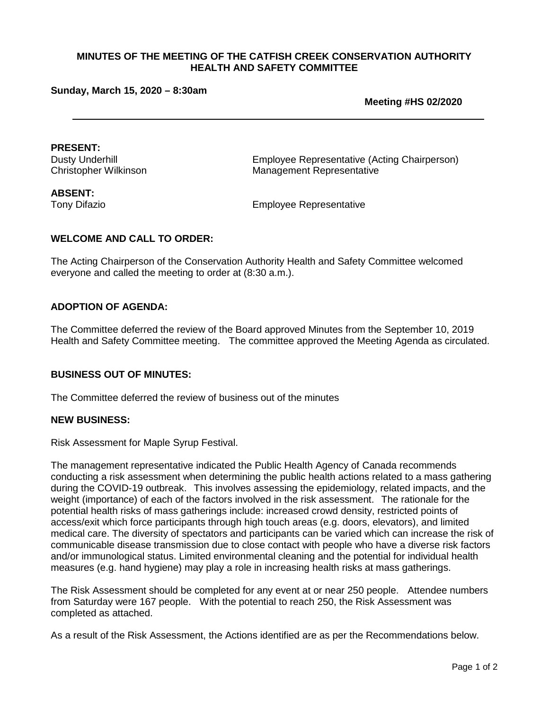#### **Sunday, March 15, 2020 – 8:30am**

**Meeting #HS 02/2020**

**PRESENT:**

Employee Representative (Acting Chairperson) Christopher Wilkinson Management Representative

**ABSENT:**

Tony Difazio Employee Representative

#### **WELCOME AND CALL TO ORDER:**

The Acting Chairperson of the Conservation Authority Health and Safety Committee welcomed everyone and called the meeting to order at (8:30 a.m.).

#### **ADOPTION OF AGENDA:**

The Committee deferred the review of the Board approved Minutes from the September 10, 2019 Health and Safety Committee meeting. The committee approved the Meeting Agenda as circulated.

#### **BUSINESS OUT OF MINUTES:**

The Committee deferred the review of business out of the minutes

#### **NEW BUSINESS:**

Risk Assessment for Maple Syrup Festival.

The management representative indicated the Public Health Agency of Canada recommends conducting a risk assessment when determining the public health actions related to a mass gathering during the COVID-19 outbreak. This involves assessing the epidemiology, related impacts, and the weight (importance) of each of the factors involved in the risk assessment. The rationale for the potential health risks of mass gatherings include: increased crowd density, restricted points of access/exit which force participants through high touch areas (e.g. doors, elevators), and limited medical care. The diversity of spectators and participants can be varied which can increase the risk of communicable disease transmission due to close contact with people who have a diverse risk factors and/or immunological status. Limited environmental cleaning and the potential for individual health measures (e.g. hand hygiene) may play a role in increasing health risks at mass gatherings.

The Risk Assessment should be completed for any event at or near 250 people. Attendee numbers from Saturday were 167 people. With the potential to reach 250, the Risk Assessment was completed as attached.

As a result of the Risk Assessment, the Actions identified are as per the Recommendations below.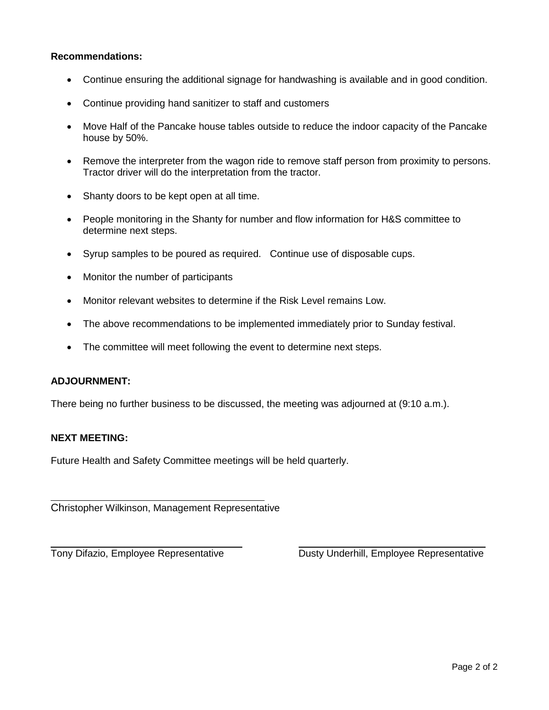#### **Recommendations:**

- Continue ensuring the additional signage for handwashing is available and in good condition.
- Continue providing hand sanitizer to staff and customers
- Move Half of the Pancake house tables outside to reduce the indoor capacity of the Pancake house by 50%.
- Remove the interpreter from the wagon ride to remove staff person from proximity to persons. Tractor driver will do the interpretation from the tractor.
- Shanty doors to be kept open at all time.
- People monitoring in the Shanty for number and flow information for H&S committee to determine next steps.
- Syrup samples to be poured as required. Continue use of disposable cups.
- Monitor the number of participants
- Monitor relevant websites to determine if the Risk Level remains Low.
- The above recommendations to be implemented immediately prior to Sunday festival.
- The committee will meet following the event to determine next steps.

#### **ADJOURNMENT:**

There being no further business to be discussed, the meeting was adjourned at (9:10 a.m.).

#### **NEXT MEETING:**

 $\overline{a}$ 

Future Health and Safety Committee meetings will be held quarterly.

Christopher Wilkinson, Management Representative

 $\overline{\phantom{a}}$ 

Tony Difazio, Employee Representative Dusty Underhill, Employee Representative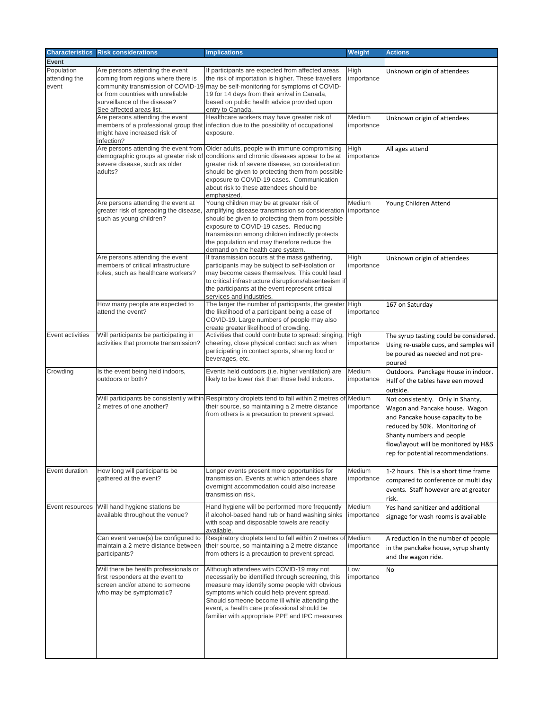| <b>Characteristics</b>               | <b>Risk considerations</b>                                                                                                                                                                                   | <b>Implications</b>                                                                                                                                                                                                                                                                                                                           | Weight               | <b>Actions</b>                                                                                                                                                                                                                                      |
|--------------------------------------|--------------------------------------------------------------------------------------------------------------------------------------------------------------------------------------------------------------|-----------------------------------------------------------------------------------------------------------------------------------------------------------------------------------------------------------------------------------------------------------------------------------------------------------------------------------------------|----------------------|-----------------------------------------------------------------------------------------------------------------------------------------------------------------------------------------------------------------------------------------------------|
| <b>Event</b>                         |                                                                                                                                                                                                              |                                                                                                                                                                                                                                                                                                                                               |                      |                                                                                                                                                                                                                                                     |
| Population<br>attending the<br>event | Are persons attending the event<br>coming from regions where there is<br>community transmission of COVID-19<br>or from countries with unreliable<br>surveillance of the disease?<br>See affected areas list. | If participants are expected from affected areas,<br>the risk of importation is higher. These travellers<br>may be self-monitoring for symptoms of COVID-<br>19 for 14 days from their arrival in Canada,<br>based on public health advice provided upon<br>entry to Canada.                                                                  | High<br>importance   | Unknown origin of attendees                                                                                                                                                                                                                         |
|                                      | Are persons attending the event<br>might have increased risk of<br>infection?                                                                                                                                | Healthcare workers may have greater risk of<br>members of a professional group that infection due to the possibility of occupational<br>exposure.                                                                                                                                                                                             | Medium<br>importance | Unknown origin of attendees                                                                                                                                                                                                                         |
|                                      | Are persons attending the event from<br>demographic groups at greater risk of<br>severe disease, such as older<br>adults?                                                                                    | Older adults, people with immune compromising<br>conditions and chronic diseases appear to be at<br>greater risk of severe disease, so consideration<br>should be given to protecting them from possible<br>exposure to COVID-19 cases. Communication<br>about risk to these attendees should be<br>emphasized.                               | High<br>importance   | All ages attend                                                                                                                                                                                                                                     |
|                                      | Are persons attending the event at<br>greater risk of spreading the disease,<br>such as young children?                                                                                                      | Young children may be at greater risk of<br>amplifying disease transmission so consideration<br>should be given to protecting them from possible<br>exposure to COVID-19 cases. Reducing<br>transmission among children indirectly protects<br>the population and may therefore reduce the<br>demand on the health care system.               | Medium<br>importance | Young Children Attend                                                                                                                                                                                                                               |
|                                      | Are persons attending the event<br>members of critical infrastructure<br>roles, such as healthcare workers?                                                                                                  | If transmission occurs at the mass gathering,<br>participants may be subject to self-isolation or<br>may become cases themselves. This could lead<br>to critical infrastructure disruptions/absenteeism if<br>the participants at the event represent critical<br>services and industries.                                                    | High<br>importance   | Unknown origin of attendees                                                                                                                                                                                                                         |
|                                      | How many people are expected to<br>attend the event?                                                                                                                                                         | The larger the number of participants, the greater<br>the likelihood of a participant being a case of<br>COVID-19. Large numbers of people may also<br>create greater likelihood of crowding.                                                                                                                                                 | High<br>importance   | 167 on Saturday                                                                                                                                                                                                                                     |
| Event activities                     | Will participants be participating in<br>activities that promote transmission?                                                                                                                               | Activities that could contribute to spread: singing<br>cheering, close physical contact such as when<br>participating in contact sports, sharing food or<br>beverages, etc.                                                                                                                                                                   | High<br>importance   | The syrup tasting could be considered.<br>Using re-usable cups, and samples will<br>be poured as needed and not pre-<br>poured                                                                                                                      |
| Crowding                             | Is the event being held indoors,<br>outdoors or both?                                                                                                                                                        | Events held outdoors (i.e. higher ventilation) are<br>likely to be lower risk than those held indoors.                                                                                                                                                                                                                                        | Medium<br>importance | Outdoors. Panckage House in indoor.<br>Half of the tables have een moved<br>outside.                                                                                                                                                                |
|                                      | 2 metres of one another?                                                                                                                                                                                     | Will participants be consistently within Respiratory droplets tend to fall within 2 metres of Medium<br>their source, so maintaining a 2 metre distance<br>from others is a precaution to prevent spread.                                                                                                                                     | importance           | Not consistently. Only in Shanty,<br>Wagon and Pancake house. Wagon<br>and Pancake house capacity to be<br>reduced by 50%. Monitoring of<br>Shanty numbers and people<br>flow/layout will be monitored by H&S<br>rep for potential recommendations. |
| Event duration                       | How long will participants be<br>gathered at the event?                                                                                                                                                      | onger events present more opportunities for<br>transmission. Events at which attendees share<br>overnight accommodation could also increase<br>transmission risk.                                                                                                                                                                             | Medium<br>importance | 1-2 hours. This is a short time frame<br>compared to conference or multi day<br>events. Staff however are at greater<br>risk.                                                                                                                       |
| Event resources                      | Will hand hygiene stations be<br>available throughout the venue?                                                                                                                                             | Hand hygiene will be performed more frequently<br>if alcohol-based hand rub or hand washing sinks<br>with soap and disposable towels are readily<br>available.                                                                                                                                                                                | Medium<br>importance | Yes hand sanitizer and additional<br>signage for wash rooms is available                                                                                                                                                                            |
|                                      | Can event venue(s) be configured to<br>maintain a 2 metre distance between<br>participants?                                                                                                                  | Respiratory droplets tend to fall within 2 metres of<br>their source, so maintaining a 2 metre distance<br>from others is a precaution to prevent spread.                                                                                                                                                                                     | Medium<br>importance | A reduction in the number of people<br>in the panckake house, syrup shanty<br>and the wagon ride.                                                                                                                                                   |
|                                      | Will there be health professionals or<br>first responders at the event to<br>screen and/or attend to someone<br>who may be symptomatic?                                                                      | Although attendees with COVID-19 may not<br>necessarily be identified through screening, this<br>measure may identify some people with obvious<br>symptoms which could help prevent spread.<br>Should someone become ill while attending the<br>event, a health care professional should be<br>familiar with appropriate PPE and IPC measures | Low<br>importance    | <b>No</b>                                                                                                                                                                                                                                           |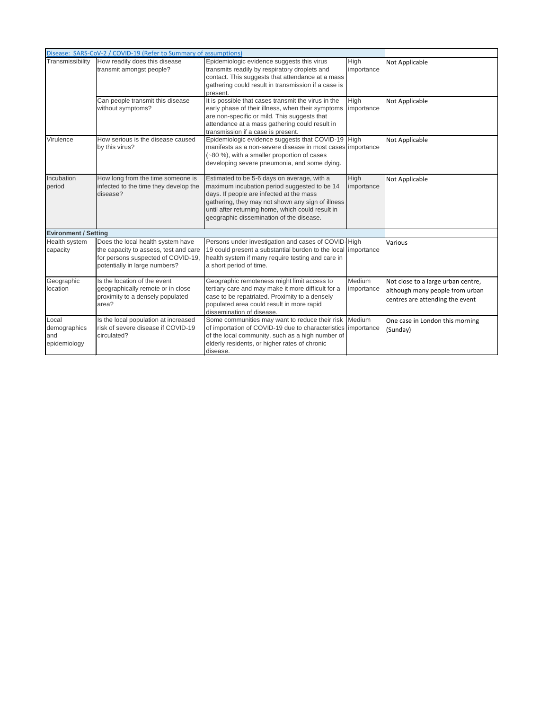|                                              | Disease: SARS-CoV-2 / COVID-19 (Refer to Summary of assumptions)                                                                                  |                                                                                                                                                                                                                                                                                               |                           |                                                                                                          |
|----------------------------------------------|---------------------------------------------------------------------------------------------------------------------------------------------------|-----------------------------------------------------------------------------------------------------------------------------------------------------------------------------------------------------------------------------------------------------------------------------------------------|---------------------------|----------------------------------------------------------------------------------------------------------|
| Transmissibility                             | How readily does this disease<br>transmit amongst people?                                                                                         | Epidemiologic evidence suggests this virus<br>transmits readily by respiratory droplets and<br>contact. This suggests that attendance at a mass<br>gathering could result in transmission if a case is<br>present.                                                                            | <b>High</b><br>importance | Not Applicable                                                                                           |
|                                              | Can people transmit this disease<br>without symptoms?                                                                                             | It is possible that cases transmit the virus in the<br>early phase of their illness, when their symptoms<br>are non-specific or mild. This suggests that<br>attendance at a mass gathering could result in<br>transmission if a case is present.                                              | High<br>importance        | Not Applicable                                                                                           |
| Virulence                                    | How serious is the disease caused<br>by this virus?                                                                                               | Epidemiologic evidence suggests that COVID-19 High<br>manifests as a non-severe disease in most cases importance<br>(~80 %), with a smaller proportion of cases<br>developing severe pneumonia, and some dying.                                                                               |                           | Not Applicable                                                                                           |
| Incubation<br>period                         | How long from the time someone is<br>infected to the time they develop the<br>disease?                                                            | Estimated to be 5-6 days on average, with a<br>maximum incubation period suggested to be 14<br>days. If people are infected at the mass<br>gathering, they may not shown any sign of illness<br>until after returning home, which could result in<br>geographic dissemination of the disease. | High<br>importance        | Not Applicable                                                                                           |
| <b>Evironment / Setting</b>                  |                                                                                                                                                   |                                                                                                                                                                                                                                                                                               |                           |                                                                                                          |
| <b>Health system</b><br>capacity             | Does the local health system have<br>the capacity to assess, test and care<br>for persons suspected of COVID-19,<br>potentially in large numbers? | Persons under investigation and cases of COVID-High<br>19 could present a substantial burden to the local importance<br>health system if many require testing and care in<br>a short period of time.                                                                                          |                           | Various                                                                                                  |
| Geographic<br>location                       | Is the location of the event<br>geographically remote or in close<br>proximity to a densely populated<br>area?                                    | Geographic remoteness might limit access to<br>tertiary care and may make it more difficult for a<br>case to be repatriated. Proximity to a densely<br>populated area could result in more rapid<br>dissemination of disease.                                                                 | Medium<br>importance      | Not close to a large urban centre,<br>although many people from urban<br>centres are attending the event |
| Local<br>demographics<br>and<br>epidemiology | Is the local population at increased<br>risk of severe disease if COVID-19<br>circulated?                                                         | Some communities may want to reduce their risk Medium<br>of importation of COVID-19 due to characteristics importance<br>of the local community, such as a high number of<br>elderly residents, or higher rates of chronic<br>disease.                                                        |                           | One case in London this morning<br>(Sunday)                                                              |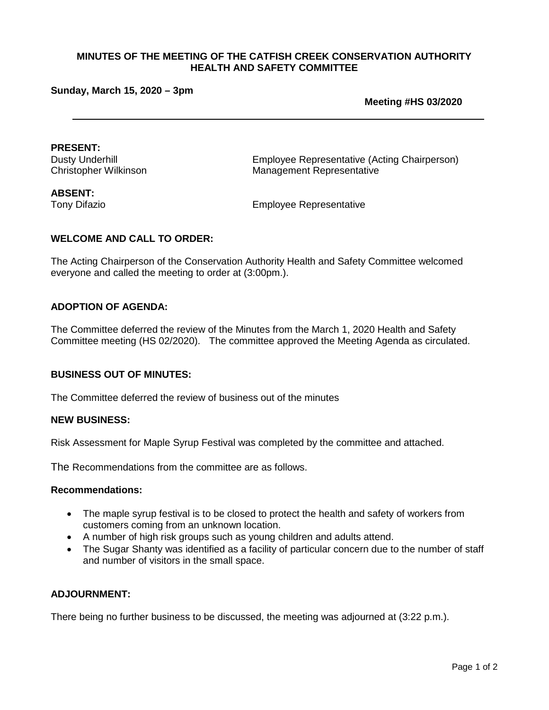#### **Sunday, March 15, 2020 – 3pm**

**Meeting #HS 03/2020**

**PRESENT:**<br>Dusty Underhill

Employee Representative (Acting Chairperson) Christopher Wilkinson Management Representative

**ABSENT:**

Tony Difazio Employee Representative

#### **WELCOME AND CALL TO ORDER:**

The Acting Chairperson of the Conservation Authority Health and Safety Committee welcomed everyone and called the meeting to order at (3:00pm.).

#### **ADOPTION OF AGENDA:**

The Committee deferred the review of the Minutes from the March 1, 2020 Health and Safety Committee meeting (HS 02/2020). The committee approved the Meeting Agenda as circulated.

#### **BUSINESS OUT OF MINUTES:**

The Committee deferred the review of business out of the minutes

#### **NEW BUSINESS:**

Risk Assessment for Maple Syrup Festival was completed by the committee and attached.

The Recommendations from the committee are as follows.

#### **Recommendations:**

- The maple syrup festival is to be closed to protect the health and safety of workers from customers coming from an unknown location.
- A number of high risk groups such as young children and adults attend.
- The Sugar Shanty was identified as a facility of particular concern due to the number of staff and number of visitors in the small space.

#### **ADJOURNMENT:**

There being no further business to be discussed, the meeting was adjourned at (3:22 p.m.).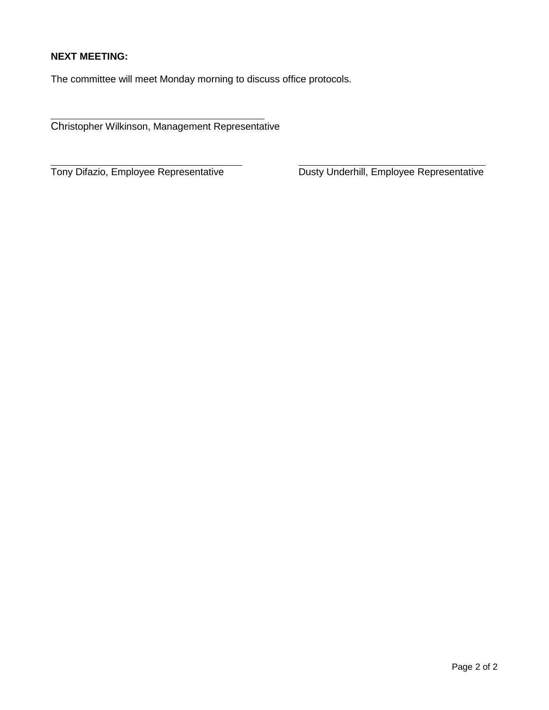## **NEXT MEETING:**

 $\overline{a}$ 

The committee will meet Monday morning to discuss office protocols.

Christopher Wilkinson, Management Representative

Tony Difazio, Employee Representative

Dusty Underhill, Employee Representative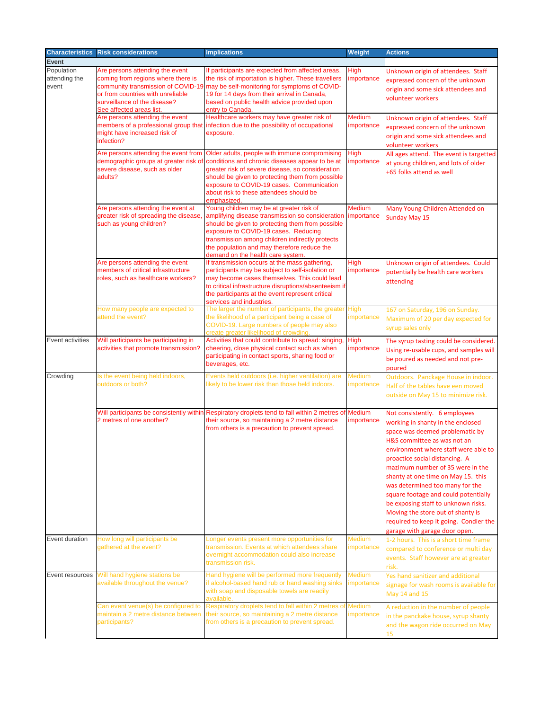| <b>Characteristics</b> | <b>Risk considerations</b>                                            | <b>Implications</b>                                                                                                                     | <b>Weight</b>               | <b>Actions</b>                                                              |
|------------------------|-----------------------------------------------------------------------|-----------------------------------------------------------------------------------------------------------------------------------------|-----------------------------|-----------------------------------------------------------------------------|
| <b>Event</b>           |                                                                       |                                                                                                                                         |                             |                                                                             |
| Population             | Are persons attending the event                                       | If participants are expected from affected areas,                                                                                       | <b>High</b>                 | Unknown origin of attendees. Staff                                          |
| attending the<br>event | coming from regions where there is                                    | the risk of importation is higher. These travellers<br>community transmission of COVID-19 may be self-monitoring for symptoms of COVID- | importance                  | expressed concern of the unknown                                            |
|                        | or from countries with unreliable                                     | 19 for 14 days from their arrival in Canada,                                                                                            |                             | origin and some sick attendees and<br>volunteer workers                     |
|                        | surveillance of the disease?                                          | based on public health advice provided upon                                                                                             |                             |                                                                             |
|                        | See affected areas list.<br>Are persons attending the event           | entry to Canada.<br>Healthcare workers may have greater risk of                                                                         | <b>Medium</b>               | Unknown origin of attendees. Staff                                          |
|                        |                                                                       | members of a professional group that infection due to the possibility of occupational                                                   | importance                  | expressed concern of the unknown                                            |
|                        | might have increased risk of                                          | exposure.                                                                                                                               |                             | origin and some sick attendees and                                          |
|                        | infection?                                                            |                                                                                                                                         |                             | volunteer workers                                                           |
|                        | Are persons attending the event from                                  | Older adults, people with immune compromising                                                                                           | <b>High</b>                 | All ages attend. The event is targetted                                     |
|                        |                                                                       | demographic groups at greater risk of conditions and chronic diseases appear to be at                                                   | importance                  | at young children, and lots of older                                        |
|                        | severe disease, such as older<br>adults?                              | greater risk of severe disease, so consideration<br>should be given to protecting them from possible                                    |                             | +65 folks attend as well                                                    |
|                        |                                                                       | exposure to COVID-19 cases. Communication                                                                                               |                             |                                                                             |
|                        |                                                                       | about risk to these attendees should be                                                                                                 |                             |                                                                             |
|                        | Are persons attending the event at                                    | emphasized<br>Young children may be at greater risk of                                                                                  | <b>Medium</b>               | Many Young Children Attended on                                             |
|                        | greater risk of spreading the disease,                                | amplifying disease transmission so consideration importance                                                                             |                             | <b>Sunday May 15</b>                                                        |
|                        | such as young children?                                               | should be given to protecting them from possible                                                                                        |                             |                                                                             |
|                        |                                                                       | exposure to COVID-19 cases. Reducing<br>transmission among children indirectly protects                                                 |                             |                                                                             |
|                        |                                                                       | the population and may therefore reduce the                                                                                             |                             |                                                                             |
|                        |                                                                       | demand on the health care system.                                                                                                       |                             |                                                                             |
|                        | Are persons attending the event<br>members of critical infrastructure | If transmission occurs at the mass gathering,<br>participants may be subject to self-isolation or                                       | <b>High</b><br>importance   | Unknown origin of attendees. Could                                          |
|                        | roles, such as healthcare workers?                                    | may become cases themselves. This could lead                                                                                            |                             | potentially be health care workers                                          |
|                        |                                                                       | to critical infrastructure disruptions/absenteeism if                                                                                   |                             | attending                                                                   |
|                        |                                                                       | the participants at the event represent critical                                                                                        |                             |                                                                             |
|                        | How many people are expected to                                       | services and industries.<br>The larger the number of participants, the greater                                                          | High                        | 167 on Saturday, 196 on Sunday.                                             |
|                        | attend the event?                                                     | the likelihood of a participant being a case of                                                                                         | importance                  | Maximum of 20 per day expected for                                          |
|                        |                                                                       | COVID-19. Large numbers of people may also                                                                                              |                             | syrup sales only                                                            |
| Event activities       | Will participants be participating in                                 | rreate greater likelihood of crowding<br>Activities that could contribute to spread: singing                                            | <b>High</b>                 | The syrup tasting could be considered.                                      |
|                        | activities that promote transmission?                                 | cheering, close physical contact such as when                                                                                           | importance                  | Using re-usable cups, and samples will                                      |
|                        |                                                                       | participating in contact sports, sharing food or                                                                                        |                             | be poured as needed and not pre-                                            |
|                        |                                                                       | beverages, etc.                                                                                                                         |                             | poured                                                                      |
| Crowding               | Is the event being held indoors,<br>outdoors or both?                 | Events held outdoors (i.e. higher ventilation) are                                                                                      | <b>Medium</b>               | Outdoors. Panckage House in indoor.                                         |
|                        |                                                                       | likely to be lower risk than those held indoors.                                                                                        | importance                  | Half of the tables have een moved                                           |
|                        |                                                                       |                                                                                                                                         |                             | outside on May 15 to minimize risk.                                         |
|                        |                                                                       | Will participants be consistently within Respiratory droplets tend to fall within 2 metres of Medium                                    |                             | Not consistently. 6 employees                                               |
|                        | 2 metres of one another?                                              | their source, so maintaining a 2 metre distance                                                                                         | importance                  | working in shanty in the enclosed                                           |
|                        |                                                                       | from others is a precaution to prevent spread.                                                                                          |                             | space was deemed problematic by                                             |
|                        |                                                                       |                                                                                                                                         |                             | H&S committee as was not an                                                 |
|                        |                                                                       |                                                                                                                                         |                             | environment where staff were able to                                        |
|                        |                                                                       |                                                                                                                                         |                             | proactice social distancing. A                                              |
|                        |                                                                       |                                                                                                                                         |                             | mazimum number of 35 were in the<br>shanty at one time on May 15. this      |
|                        |                                                                       |                                                                                                                                         |                             | was determined too many for the                                             |
|                        |                                                                       |                                                                                                                                         |                             | square footage and could potentially                                        |
|                        |                                                                       |                                                                                                                                         |                             | be exposing staff to unknown risks.                                         |
|                        |                                                                       |                                                                                                                                         |                             | Moving the store out of shanty is                                           |
|                        |                                                                       |                                                                                                                                         |                             | required to keep it going. Condier the                                      |
|                        |                                                                       |                                                                                                                                         |                             | garage with garage door open.                                               |
| Event duration         | How long will participants be<br>gathered at the event?               | Longer events present more opportunities for<br>transmission. Events at which attendees share                                           | <b>Medium</b><br>importance | 1-2 hours. This is a short time frame                                       |
|                        |                                                                       | overnight accommodation could also increase                                                                                             |                             | compared to conference or multi day<br>events. Staff however are at greater |
|                        |                                                                       | transmission risk.                                                                                                                      |                             | risk.                                                                       |
| Event resources        | Will hand hygiene stations be                                         | Hand hygiene will be performed more frequently                                                                                          | <b>Medium</b>               | Yes hand sanitizer and additional                                           |
|                        | available throughout the venue?                                       | if alcohol-based hand rub or hand washing sinks                                                                                         | importance                  | signage for wash rooms is available for                                     |
|                        |                                                                       | with soap and disposable towels are readily<br>available.                                                                               |                             | May 14 and 15                                                               |
|                        | Can event venue(s) be configured to                                   | Respiratory droplets tend to fall within 2 metres of                                                                                    | <b>Medium</b>               | A reduction in the number of people                                         |
|                        | maintain a 2 metre distance between                                   | their source, so maintaining a 2 metre distance                                                                                         | importance                  | in the panckake house, syrup shanty                                         |
|                        | participants?                                                         | from others is a precaution to prevent spread.                                                                                          |                             | and the wagon ride occurred on May                                          |
|                        |                                                                       |                                                                                                                                         |                             | 15                                                                          |
|                        |                                                                       |                                                                                                                                         |                             |                                                                             |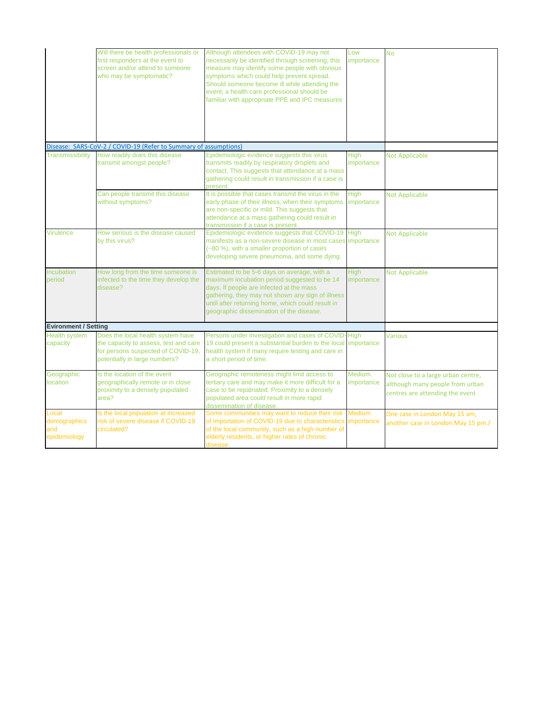|                                              | Will there be health professionals or<br>first responders at the event to<br>screen and/or attend to someone<br>who may be symptomatic?           | Although attendees with COVID-19 may not<br>necessarily be identified through screening, this<br>measure may identify some people with obvious<br>symptoms which could help prevent spread.<br>Should someone become ill while attending the<br>event, a health care professional should be<br>familiar with appropriate PPE and IPC measures | Low<br>importance           | <b>No</b>                                                                                                |
|----------------------------------------------|---------------------------------------------------------------------------------------------------------------------------------------------------|-----------------------------------------------------------------------------------------------------------------------------------------------------------------------------------------------------------------------------------------------------------------------------------------------------------------------------------------------|-----------------------------|----------------------------------------------------------------------------------------------------------|
|                                              | Disease: SARS-CoV-2 / COVID-19 (Refer to Summary of assumptions)                                                                                  |                                                                                                                                                                                                                                                                                                                                               |                             |                                                                                                          |
| Transmissibility                             | How readily does this disease<br>transmit amongst people?                                                                                         | Epidemiologic evidence suggests this virus<br>transmits readily by respiratory droplets and<br>contact. This suggests that attendance at a mass<br>gathering could result in transmission if a case is<br>present.                                                                                                                            | <b>High</b><br>importance   | <b>Not Applicable</b>                                                                                    |
|                                              | Can people transmit this disease<br>without symptoms?                                                                                             | It is possible that cases transmit the virus in the<br>early phase of their illness, when their symptoms<br>are non-specific or mild. This suggests that<br>attendance at a mass gathering could result in<br>transmission if a case is present.                                                                                              | <b>High</b><br>importance   | <b>Not Applicable</b>                                                                                    |
| Virulence                                    | How serious is the disease caused<br>by this virus?                                                                                               | Epidemiologic evidence suggests that COVID-19 High<br>manifests as a non-severe disease in most cases importance<br>(~80 %), with a smaller proportion of cases<br>developing severe pneumonia, and some dying.                                                                                                                               |                             | <b>Not Applicable</b>                                                                                    |
| Incubation<br>period                         | How long from the time someone is<br>infected to the time they develop the<br>disease?                                                            | Estimated to be 5-6 days on average, with a<br>maximum incubation period suggested to be 14<br>days. If people are infected at the mass<br>gathering, they may not shown any sign of illness<br>until after returning home, which could result in<br>geographic dissemination of the disease.                                                 | <b>High</b><br>importance   | <b>Not Applicable</b>                                                                                    |
| <b>Evironment / Setting</b>                  |                                                                                                                                                   |                                                                                                                                                                                                                                                                                                                                               |                             |                                                                                                          |
| <b>Health system</b><br>capacity             | Does the local health system have<br>the capacity to assess, test and care<br>for persons suspected of COVID-19,<br>potentially in large numbers? | Persons under investigation and cases of COVID-High<br>19 could present a substantial burden to the local importance<br>health system if many require testing and care in<br>a short period of time.                                                                                                                                          |                             | <b>Various</b>                                                                                           |
| Geographic<br><b>location</b>                | Is the location of the event<br>geographically remote or in close<br>proximity to a densely populated<br>area?                                    | Geographic remoteness might limit access to<br>tertiary care and may make it more difficult for a<br>case to be repatriated. Proximity to a densely<br>populated area could result in more rapid<br>dissemination of disease.                                                                                                                 | <b>Medium</b><br>importance | Not close to a large urban centre,<br>although many people from urban<br>centres are attending the event |
| Local<br>demographics<br>and<br>epidemiology | Is the local population at increased<br>risk of severe disease if COVID-19<br>circulated?                                                         | Some communities may want to reduce their risk<br>of importation of COVID-19 due to characteristics importance<br>of the local community, such as a high number of<br>elderly residents, or higher rates of chronic<br>disease.                                                                                                               | <b>Medium</b>               | One case in London May 15 am,<br>another case in London May 15 pm./                                      |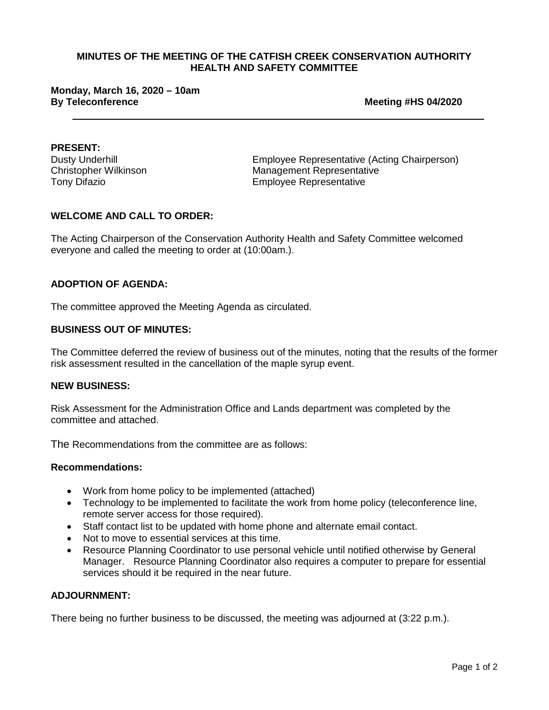# **Monday, March 16, 2020 – 10am**

**Meeting #HS 04/2020** 

**PRESENT:**<br>Dusty Underhill

Dusty Underhill<br>
Christopher Wilkinson<br>
Christopher Wilkinson<br>
Christopher Wilkinson<br>
Christopher Wilkinson<br>
Christopher Wilkinson Management Representative Tony Difazio **Employee Representative** 

#### **WELCOME AND CALL TO ORDER:**

The Acting Chairperson of the Conservation Authority Health and Safety Committee welcomed everyone and called the meeting to order at (10:00am.).

#### **ADOPTION OF AGENDA:**

The committee approved the Meeting Agenda as circulated.

#### **BUSINESS OUT OF MINUTES:**

The Committee deferred the review of business out of the minutes, noting that the results of the former risk assessment resulted in the cancellation of the maple syrup event.

#### **NEW BUSINESS:**

Risk Assessment for the Administration Office and Lands department was completed by the committee and attached.

The Recommendations from the committee are as follows:

#### **Recommendations:**

- Work from home policy to be implemented (attached)
- Technology to be implemented to facilitate the work from home policy (teleconference line, remote server access for those required).
- Staff contact list to be updated with home phone and alternate email contact.
- Not to move to essential services at this time.
- Resource Planning Coordinator to use personal vehicle until notified otherwise by General Manager. Resource Planning Coordinator also requires a computer to prepare for essential services should it be required in the near future.

#### **ADJOURNMENT:**

There being no further business to be discussed, the meeting was adjourned at (3:22 p.m.).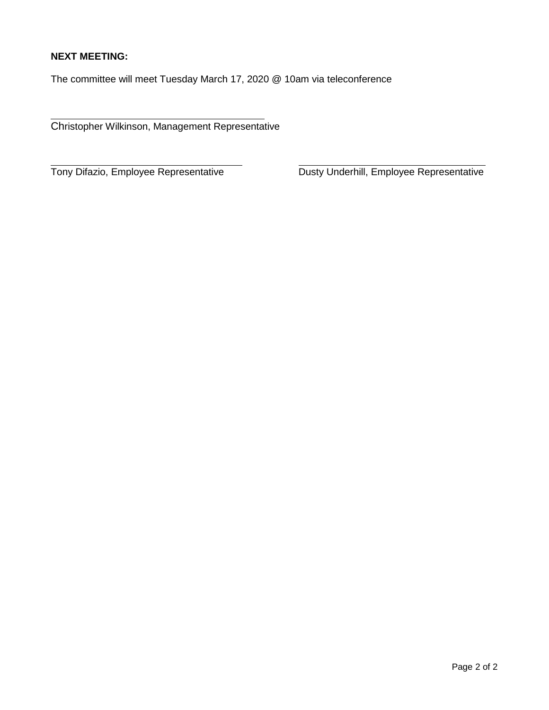## **NEXT MEETING:**

 $\overline{a}$ 

The committee will meet Tuesday March 17, 2020 @ 10am via teleconference

Christopher Wilkinson, Management Representative

Tony Difazio, Employee Representative

Dusty Underhill, Employee Representative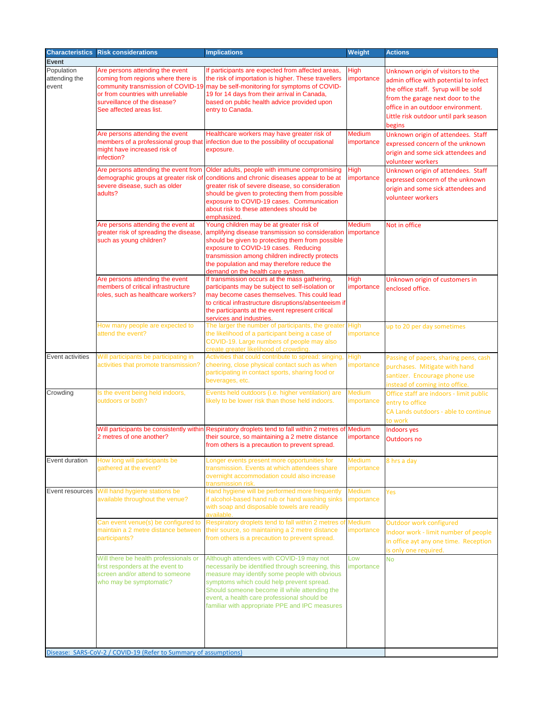| <b>Characteristics</b>               | <b>Risk considerations</b>                                                                                                                                             | <b>Implications</b>                                                                                                                                                                                                                                                                                                                           | <b>Weight</b>               | <b>Actions</b>                                                                                                                                                                                                                                 |
|--------------------------------------|------------------------------------------------------------------------------------------------------------------------------------------------------------------------|-----------------------------------------------------------------------------------------------------------------------------------------------------------------------------------------------------------------------------------------------------------------------------------------------------------------------------------------------|-----------------------------|------------------------------------------------------------------------------------------------------------------------------------------------------------------------------------------------------------------------------------------------|
| <b>Event</b>                         |                                                                                                                                                                        |                                                                                                                                                                                                                                                                                                                                               |                             |                                                                                                                                                                                                                                                |
| Population<br>attending the<br>event | Are persons attending the event<br>coming from regions where there is<br>or from countries with unreliable<br>surveillance of the disease?<br>See affected areas list. | If participants are expected from affected areas,<br>the risk of importation is higher. These travellers<br>community transmission of COVID-19 may be self-monitoring for symptoms of COVID-<br>19 for 14 days from their arrival in Canada,<br>based on public health advice provided upon<br>entry to Canada.                               | <b>High</b><br>importance   | Unknown origin of visitors to the<br>admin office with potential to infect<br>the office staff. Syrup will be sold<br>from the garage next door to the<br>office in an outdoor environment.<br>Little risk outdoor until park season<br>begins |
|                                      | Are persons attending the event<br>members of a professional group that<br>might have increased risk of<br>infection?                                                  | Healthcare workers may have greater risk of<br>infection due to the possibility of occupational<br>exposure.                                                                                                                                                                                                                                  | <b>Medium</b><br>importance | Unknown origin of attendees. Staff<br>expressed concern of the unknown<br>origin and some sick attendees and<br>volunteer workers                                                                                                              |
|                                      | Are persons attending the event from<br>demographic groups at greater risk of<br>severe disease, such as older<br>adults?                                              | Older adults, people with immune compromising<br>conditions and chronic diseases appear to be at<br>greater risk of severe disease, so consideration<br>should be given to protecting them from possible<br>exposure to COVID-19 cases. Communication<br>about risk to these attendees should be<br>emphasized.                               | <b>High</b><br>importance   | Unknown origin of attendees. Staff<br>expressed concern of the unknown<br>origin and some sick attendees and<br>volunteer workers                                                                                                              |
|                                      | Are persons attending the event at<br>greater risk of spreading the disease<br>such as young children?                                                                 | Young children may be at greater risk of<br>amplifying disease transmission so consideration<br>should be given to protecting them from possible<br>exposure to COVID-19 cases. Reducing<br>transmission among children indirectly protects<br>the population and may therefore reduce the<br>demand on the health care system.               | <b>Medium</b><br>importance | Not in office                                                                                                                                                                                                                                  |
|                                      | Are persons attending the event<br>members of critical infrastructure<br>roles, such as healthcare workers?                                                            | If transmission occurs at the mass gathering,<br>participants may be subject to self-isolation or<br>may become cases themselves. This could lead<br>to critical infrastructure disruptions/absenteeism if<br>the participants at the event represent critical<br>services and industries.                                                    | <b>High</b><br>importance   | Unknown origin of customers in<br>enclosed office.                                                                                                                                                                                             |
|                                      | How many people are expected to<br>attend the event?                                                                                                                   | The larger the number of participants, the greater High<br>the likelihood of a participant being a case of<br>COVID-19. Large numbers of people may also<br>create greater likelihood of crowding.                                                                                                                                            | importance                  | up to 20 per day sometimes                                                                                                                                                                                                                     |
| Event activities                     | Will participants be participating in<br>activities that promote transmission?                                                                                         | Activities that could contribute to spread: singing<br>cheering, close physical contact such as when<br>participating in contact sports, sharing food or<br>beverages, etc.                                                                                                                                                                   | High<br>importance          | Passing of papers, sharing pens, cash<br>purchases. Mitigate with hand<br>santizer. Encourage phone use<br>instead of coming into office.                                                                                                      |
| Crowding                             | Is the event being held indoors,<br>outdoors or both?                                                                                                                  | Events held outdoors (i.e. higher ventilation) are<br>likely to be lower risk than those held indoors.                                                                                                                                                                                                                                        | <b>Medium</b><br>importance | Office staff are indoors - limit public<br>entry to office<br>CA Lands outdoors - able to continue<br>to work                                                                                                                                  |
|                                      | 2 metres of one another?                                                                                                                                               | Will participants be consistently within Respiratory droplets tend to fall within 2 metres of Medium<br>their source, so maintaining a 2 metre distance<br>from others is a precaution to prevent spread.                                                                                                                                     | importance                  | <b>Indoors yes</b><br>Outdoors no                                                                                                                                                                                                              |
| Event duration                       | How long will participants be<br>gathered at the event?                                                                                                                | Longer events present more opportunities for<br>transmission. Events at which attendees share<br>overnight accommodation could also increase<br>transmission risk.                                                                                                                                                                            | <b>Medium</b><br>importance | 8 hrs a day                                                                                                                                                                                                                                    |
| Event resources                      | Will hand hygiene stations be<br>available throughout the venue?                                                                                                       | Hand hygiene will be performed more frequently<br>if alcohol-based hand rub or hand washing sinks<br>with soap and disposable towels are readily<br>available.                                                                                                                                                                                | <b>Medium</b><br>importance | Yes                                                                                                                                                                                                                                            |
|                                      | Can event venue(s) be configured to<br>maintain a 2 metre distance between<br>participants?                                                                            | Respiratory droplets tend to fall within 2 metres of<br>their source, so maintaining a 2 metre distance<br>from others is a precaution to prevent spread.                                                                                                                                                                                     | Medium<br>importance        | Outdoor work configured<br>Indoor work - limit number of people<br>in office ayt any one time. Reception<br>is only one required.                                                                                                              |
|                                      | Will there be health professionals or<br>first responders at the event to<br>screen and/or attend to someone<br>who may be symptomatic?                                | Although attendees with COVID-19 may not<br>necessarily be identified through screening, this<br>measure may identify some people with obvious<br>symptoms which could help prevent spread.<br>Should someone become ill while attending the<br>event, a health care professional should be<br>familiar with appropriate PPE and IPC measures | Low<br>importance           | <b>No</b>                                                                                                                                                                                                                                      |
|                                      | Disease: SARS-CoV-2 / COVID-19 (Refer to Summary of assumptions)                                                                                                       |                                                                                                                                                                                                                                                                                                                                               |                             |                                                                                                                                                                                                                                                |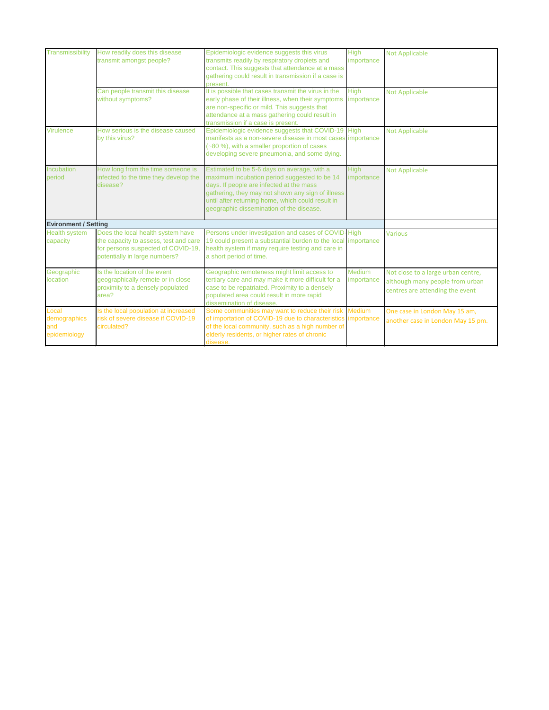| Transmissibility                             | How readily does this disease<br>transmit amongst people?                                                                                         | Epidemiologic evidence suggests this virus<br>transmits readily by respiratory droplets and<br>contact. This suggests that attendance at a mass<br>gathering could result in transmission if a case is                                                                                        | <b>High</b><br>importance   | <b>Not Applicable</b>                                                                                    |
|----------------------------------------------|---------------------------------------------------------------------------------------------------------------------------------------------------|-----------------------------------------------------------------------------------------------------------------------------------------------------------------------------------------------------------------------------------------------------------------------------------------------|-----------------------------|----------------------------------------------------------------------------------------------------------|
|                                              |                                                                                                                                                   | present.                                                                                                                                                                                                                                                                                      |                             |                                                                                                          |
|                                              | Can people transmit this disease<br>without symptoms?                                                                                             | It is possible that cases transmit the virus in the<br>early phase of their illness, when their symptoms<br>are non-specific or mild. This suggests that<br>attendance at a mass gathering could result in<br>transmission if a case is present.                                              | <b>High</b><br>importance   | <b>Not Applicable</b>                                                                                    |
| Virulence                                    | How serious is the disease caused<br>by this virus?                                                                                               | Epidemiologic evidence suggests that COVID-19<br>manifests as a non-severe disease in most cases importance<br>(~80 %), with a smaller proportion of cases<br>developing severe pneumonia, and some dying.                                                                                    | <b>High</b>                 | <b>Not Applicable</b>                                                                                    |
| Incubation<br>period                         | How long from the time someone is<br>infected to the time they develop the<br>disease?                                                            | Estimated to be 5-6 days on average, with a<br>maximum incubation period suggested to be 14<br>days. If people are infected at the mass<br>gathering, they may not shown any sign of illness<br>until after returning home, which could result in<br>geographic dissemination of the disease. | <b>High</b><br>importance   | <b>Not Applicable</b>                                                                                    |
| <b>Evironment / Setting</b>                  |                                                                                                                                                   |                                                                                                                                                                                                                                                                                               |                             |                                                                                                          |
| <b>Health system</b><br>capacity             | Does the local health system have<br>the capacity to assess, test and care<br>for persons suspected of COVID-19,<br>potentially in large numbers? | Persons under investigation and cases of COVID-High<br>19 could present a substantial burden to the local importance<br>health system if many require testing and care in<br>a short period of time.                                                                                          |                             | <b>Various</b>                                                                                           |
| Geographic<br>location                       | Is the location of the event<br>geographically remote or in close<br>proximity to a densely populated<br>area?                                    | Geographic remoteness might limit access to<br>tertiary care and may make it more difficult for a<br>case to be repatriated. Proximity to a densely<br>populated area could result in more rapid<br>dissemination of disease.                                                                 | Medium<br>importance        | Not close to a large urban centre,<br>although many people from urban<br>centres are attending the event |
| Local<br>demographics<br>and<br>epidemiology | Is the local population at increased<br>risk of severe disease if COVID-19<br>circulated?                                                         | Some communities may want to reduce their risk<br>of importation of COVID-19 due to characteristics<br>of the local community, such as a high number of<br>elderly residents, or higher rates of chronic<br>disease.                                                                          | <b>Medium</b><br>importance | One case in London May 15 am,<br>another case in London May 15 pm.                                       |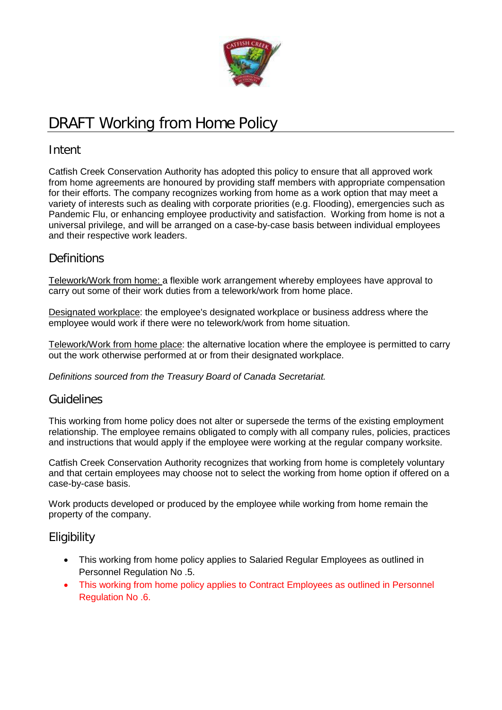

# DRAFT Working from Home Policy

## Intent

Catfish Creek Conservation Authority has adopted this policy to ensure that all approved work from home agreements are honoured by providing staff members with appropriate compensation for their efforts. The company recognizes working from home as a work option that may meet a variety of interests such as dealing with corporate priorities (e.g. Flooding), emergencies such as Pandemic Flu, or enhancing employee productivity and satisfaction. Working from home is not a universal privilege, and will be arranged on a case-by-case basis between individual employees and their respective work leaders.

## **Definitions**

Telework/Work from home: a flexible work arrangement whereby employees have approval to carry out some of their work duties from a telework/work from home place.

Designated workplace: the employee's designated workplace or business address where the employee would work if there were no telework/work from home situation.

Telework/Work from home place: the alternative location where the employee is permitted to carry out the work otherwise performed at or from their designated workplace.

*Definitions sourced from the Treasury Board of Canada Secretariat.*

## Guidelines

This working from home policy does not alter or supersede the terms of the existing employment relationship. The employee remains obligated to comply with all company rules, policies, practices and instructions that would apply if the employee were working at the regular company worksite.

Catfish Creek Conservation Authority recognizes that working from home is completely voluntary and that certain employees may choose not to select the working from home option if offered on a case-by-case basis.

Work products developed or produced by the employee while working from home remain the property of the company.

## **Eligibility**

- This working from home policy applies to Salaried Regular Employees as outlined in Personnel Regulation No .5.
- This working from home policy applies to Contract Employees as outlined in Personnel Regulation No .6.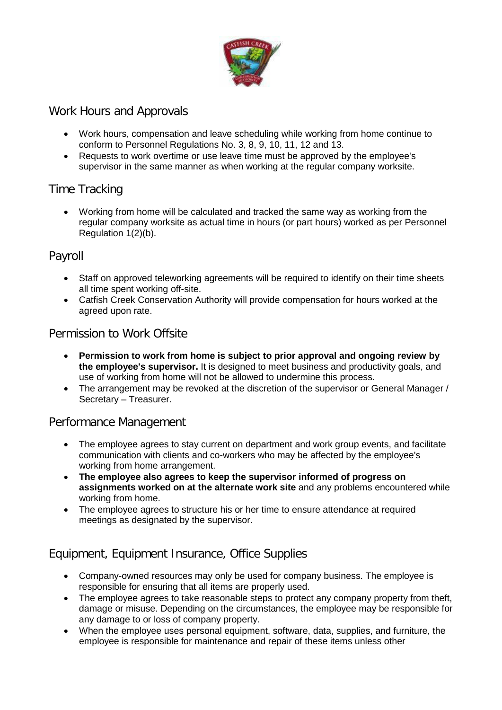

## Work Hours and Approvals

- Work hours, compensation and leave scheduling while working from home continue to conform to Personnel Regulations No. 3, 8, 9, 10, 11, 12 and 13.
- Requests to work overtime or use leave time must be approved by the employee's supervisor in the same manner as when working at the regular company worksite.

## Time Tracking

• Working from home will be calculated and tracked the same way as working from the regular company worksite as actual time in hours (or part hours) worked as per Personnel Regulation 1(2)(b).

## Payroll

- Staff on approved teleworking agreements will be required to identify on their time sheets all time spent working off-site.
- Catfish Creek Conservation Authority will provide compensation for hours worked at the agreed upon rate.

## Permission to Work Offsite

- **Permission to work from home is subject to prior approval and ongoing review by the employee's supervisor.** It is designed to meet business and productivity goals, and use of working from home will not be allowed to undermine this process.
- The arrangement may be revoked at the discretion of the supervisor or General Manager / Secretary – Treasurer.

## Performance Management

- The employee agrees to stay current on department and work group events, and facilitate communication with clients and co-workers who may be affected by the employee's working from home arrangement.
- **The employee also agrees to keep the supervisor informed of progress on assignments worked on at the alternate work site** and any problems encountered while working from home.
- The employee agrees to structure his or her time to ensure attendance at required meetings as designated by the supervisor.

## Equipment, Equipment Insurance, Office Supplies

- Company-owned resources may only be used for company business. The employee is responsible for ensuring that all items are properly used.
- The employee agrees to take reasonable steps to protect any company property from theft, damage or misuse. Depending on the circumstances, the employee may be responsible for any damage to or loss of company property.
- When the employee uses personal equipment, software, data, supplies, and furniture, the employee is responsible for maintenance and repair of these items unless other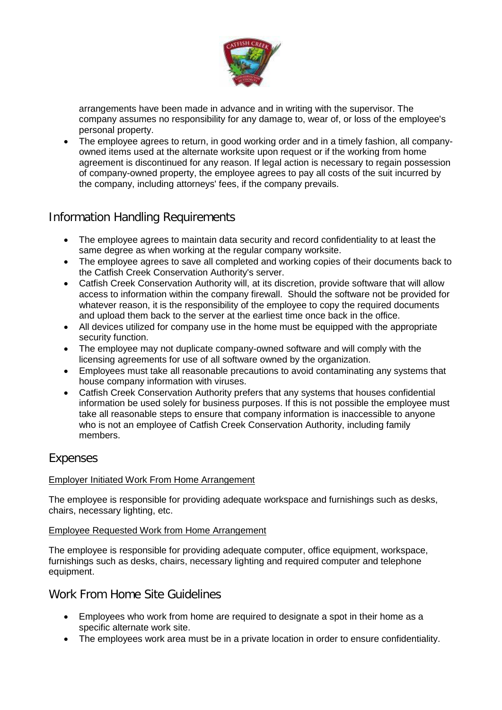

arrangements have been made in advance and in writing with the supervisor. The company assumes no responsibility for any damage to, wear of, or loss of the employee's personal property.

• The employee agrees to return, in good working order and in a timely fashion, all companyowned items used at the alternate worksite upon request or if the working from home agreement is discontinued for any reason. If legal action is necessary to regain possession of company-owned property, the employee agrees to pay all costs of the suit incurred by the company, including attorneys' fees, if the company prevails.

## Information Handling Requirements

- The employee agrees to maintain data security and record confidentiality to at least the same degree as when working at the regular company worksite.
- The employee agrees to save all completed and working copies of their documents back to the Catfish Creek Conservation Authority's server.
- Catfish Creek Conservation Authority will, at its discretion, provide software that will allow access to information within the company firewall. Should the software not be provided for whatever reason, it is the responsibility of the employee to copy the required documents and upload them back to the server at the earliest time once back in the office.
- All devices utilized for company use in the home must be equipped with the appropriate security function.
- The employee may not duplicate company-owned software and will comply with the licensing agreements for use of all software owned by the organization.
- Employees must take all reasonable precautions to avoid contaminating any systems that house company information with viruses.
- Catfish Creek Conservation Authority prefers that any systems that houses confidential information be used solely for business purposes. If this is not possible the employee must take all reasonable steps to ensure that company information is inaccessible to anyone who is not an employee of Catfish Creek Conservation Authority, including family members.

## Expenses

## Employer Initiated Work From Home Arrangement

The employee is responsible for providing adequate workspace and furnishings such as desks, chairs, necessary lighting, etc.

#### Employee Requested Work from Home Arrangement

The employee is responsible for providing adequate computer, office equipment, workspace, furnishings such as desks, chairs, necessary lighting and required computer and telephone equipment.

## Work From Home Site Guidelines

- Employees who work from home are required to designate a spot in their home as a specific alternate work site.
- The employees work area must be in a private location in order to ensure confidentiality.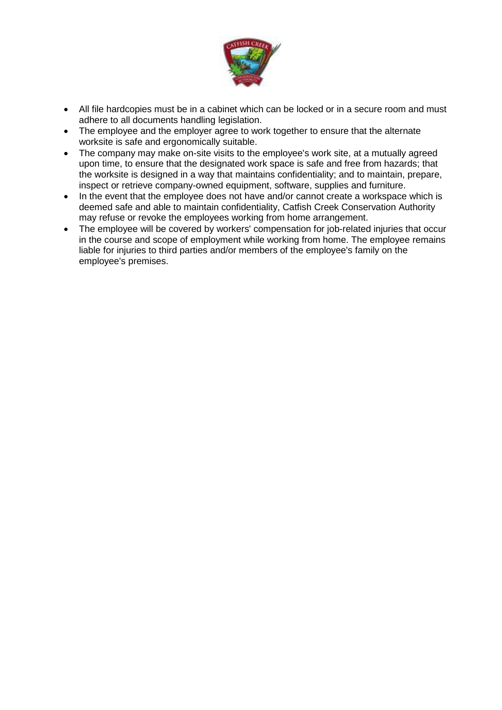

- All file hardcopies must be in a cabinet which can be locked or in a secure room and must adhere to all documents handling legislation.
- The employee and the employer agree to work together to ensure that the alternate worksite is safe and ergonomically suitable.
- The company may make on-site visits to the employee's work site, at a mutually agreed upon time, to ensure that the designated work space is safe and free from hazards; that the worksite is designed in a way that maintains confidentiality; and to maintain, prepare, inspect or retrieve company-owned equipment, software, supplies and furniture.
- In the event that the employee does not have and/or cannot create a workspace which is deemed safe and able to maintain confidentiality, Catfish Creek Conservation Authority may refuse or revoke the employees working from home arrangement.
- The employee will be covered by workers' compensation for job-related injuries that occur in the course and scope of employment while working from home. The employee remains liable for injuries to third parties and/or members of the employee's family on the employee's premises.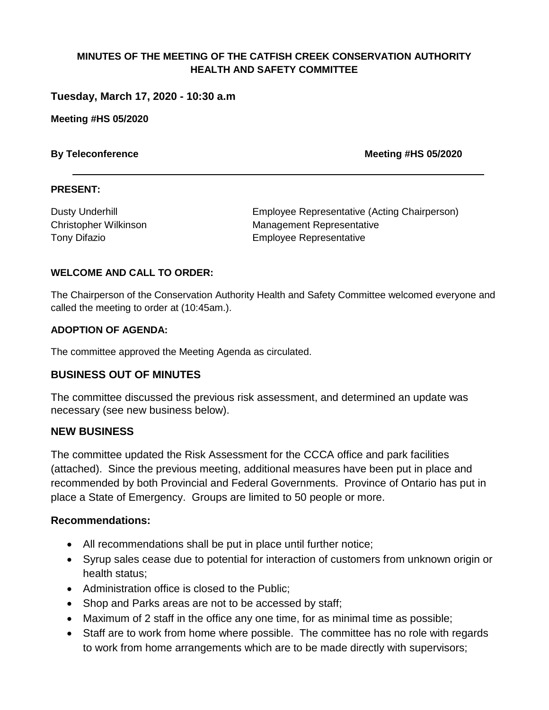**Tuesday, March 17, 2020 - 10:30 a.m** 

**Meeting #HS 05/2020**

**By Teleconference <b>Meeting #HS 05/2020** 

#### **PRESENT:**

Dusty Underhill Employee Representative (Acting Chairperson) Christopher Wilkinson **Management Representative** Tony Difazio Employee Representative

#### **WELCOME AND CALL TO ORDER:**

The Chairperson of the Conservation Authority Health and Safety Committee welcomed everyone and called the meeting to order at (10:45am.).

#### **ADOPTION OF AGENDA:**

The committee approved the Meeting Agenda as circulated.

### **BUSINESS OUT OF MINUTES**

The committee discussed the previous risk assessment, and determined an update was necessary (see new business below).

### **NEW BUSINESS**

The committee updated the Risk Assessment for the CCCA office and park facilities (attached). Since the previous meeting, additional measures have been put in place and recommended by both Provincial and Federal Governments. Province of Ontario has put in place a State of Emergency. Groups are limited to 50 people or more.

#### **Recommendations:**

- All recommendations shall be put in place until further notice;
- Syrup sales cease due to potential for interaction of customers from unknown origin or health status;
- Administration office is closed to the Public;
- Shop and Parks areas are not to be accessed by staff;
- Maximum of 2 staff in the office any one time, for as minimal time as possible;
- Staff are to work from home where possible. The committee has no role with regards to work from home arrangements which are to be made directly with supervisors;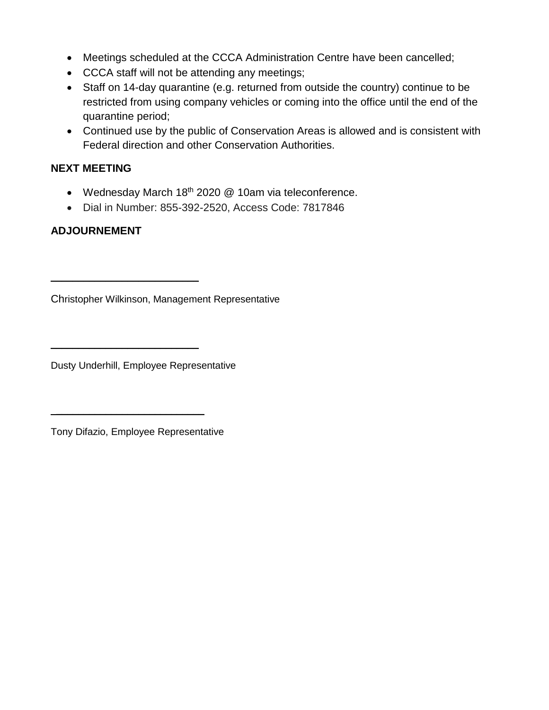- Meetings scheduled at the CCCA Administration Centre have been cancelled;
- CCCA staff will not be attending any meetings;
- Staff on 14-day quarantine (e.g. returned from outside the country) continue to be restricted from using company vehicles or coming into the office until the end of the quarantine period;
- Continued use by the public of Conservation Areas is allowed and is consistent with Federal direction and other Conservation Authorities.

## **NEXT MEETING**

- Wednesday March  $18<sup>th</sup>$  2020  $@$  10am via teleconference.
- Dial in Number: 855-392-2520, Access Code: 7817846

## **ADJOURNEMENT**

Christopher Wilkinson, Management Representative

Dusty Underhill, Employee Representative

 $\overline{\phantom{a}}$  , where  $\overline{\phantom{a}}$  , where  $\overline{\phantom{a}}$  , where  $\overline{\phantom{a}}$ 

Tony Difazio, Employee Representative

 $\overline{\phantom{a}}$  , which is a set of the set of the set of the set of the set of the set of the set of the set of the set of the set of the set of the set of the set of the set of the set of the set of the set of the set of th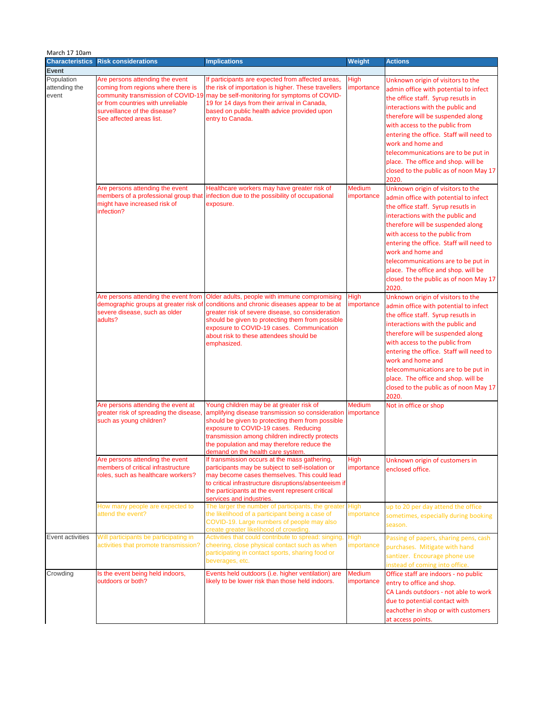| March 17 10am                        |                                                                                                                                                                                                              |                                                                                                                                                                                                                                                                                                                                 |                                            |                                                                                                                                                                                                                                                                                                                                                                                                                              |
|--------------------------------------|--------------------------------------------------------------------------------------------------------------------------------------------------------------------------------------------------------------|---------------------------------------------------------------------------------------------------------------------------------------------------------------------------------------------------------------------------------------------------------------------------------------------------------------------------------|--------------------------------------------|------------------------------------------------------------------------------------------------------------------------------------------------------------------------------------------------------------------------------------------------------------------------------------------------------------------------------------------------------------------------------------------------------------------------------|
| <b>Characteristics</b>               | <b>Risk considerations</b>                                                                                                                                                                                   | <b>Implications</b>                                                                                                                                                                                                                                                                                                             | <b>Weight</b>                              | <b>Actions</b>                                                                                                                                                                                                                                                                                                                                                                                                               |
| <b>Event</b>                         |                                                                                                                                                                                                              |                                                                                                                                                                                                                                                                                                                                 |                                            |                                                                                                                                                                                                                                                                                                                                                                                                                              |
| Population<br>attending the<br>event | Are persons attending the event<br>coming from regions where there is<br>community transmission of COVID-19<br>or from countries with unreliable<br>surveillance of the disease?<br>See affected areas list. | If participants are expected from affected areas,<br>the risk of importation is higher. These travellers<br>may be self-monitoring for symptoms of COVID-<br>19 for 14 days from their arrival in Canada,<br>based on public health advice provided upon<br>entry to Canada.                                                    | <b>High</b><br>importance                  | Unknown origin of visitors to the<br>admin office with potential to infect<br>the office staff. Syrup resutls in<br>interactions with the public and<br>therefore will be suspended along<br>with access to the public from<br>entering the office. Staff will need to<br>work and home and<br>telecommunications are to be put in<br>place. The office and shop. will be<br>closed to the public as of noon May 17<br>2020. |
|                                      | Are persons attending the event<br>might have increased risk of<br>infection?                                                                                                                                | Healthcare workers may have greater risk of<br>members of a professional group that infection due to the possibility of occupational<br>exposure.<br>Are persons attending the event from Older adults, people with immune compromising                                                                                         | <b>Medium</b><br>importance<br><b>High</b> | Unknown origin of visitors to the<br>admin office with potential to infect<br>the office staff. Syrup resutls in<br>interactions with the public and<br>therefore will be suspended along<br>with access to the public from<br>entering the office. Staff will need to<br>work and home and<br>telecommunications are to be put in<br>place. The office and shop. will be<br>closed to the public as of noon May 17<br>2020. |
|                                      | severe disease, such as older<br>adults?                                                                                                                                                                     | demographic groups at greater risk of conditions and chronic diseases appear to be at<br>greater risk of severe disease, so consideration<br>should be given to protecting them from possible<br>exposure to COVID-19 cases. Communication<br>about risk to these attendees should be<br>emphasized.                            | importance                                 | Unknown origin of visitors to the<br>admin office with potential to infect<br>the office staff. Syrup resutls in<br>interactions with the public and<br>therefore will be suspended along<br>with access to the public from<br>entering the office. Staff will need to<br>work and home and<br>telecommunications are to be put in<br>place. The office and shop. will be<br>closed to the public as of noon May 17<br>2020. |
|                                      | Are persons attending the event at<br>greater risk of spreading the disease,<br>such as young children?                                                                                                      | Young children may be at greater risk of<br>amplifying disease transmission so consideration<br>should be given to protecting them from possible<br>exposure to COVID-19 cases. Reducing<br>transmission among children indirectly protects<br>the population and may therefore reduce the<br>demand on the health care system. | <b>Medium</b><br>importance                | Not in office or shop                                                                                                                                                                                                                                                                                                                                                                                                        |
|                                      | Are persons attending the event<br>members of critical infrastructure<br>roles, such as healthcare workers?                                                                                                  | If transmission occurs at the mass gathering,<br>participants may be subject to self-isolation or<br>may become cases themselves. This could lead<br>to critical infrastructure disruptions/absenteeism if<br>the participants at the event represent critical<br>services and industries.                                      | High<br>importance                         | Unknown origin of customers in<br>enclosed office.                                                                                                                                                                                                                                                                                                                                                                           |
|                                      | How many people are expected to<br>attend the event?                                                                                                                                                         | The larger the number of participants, the greater High<br>the likelihood of a participant being a case of<br>COVID-19. Large numbers of people may also<br>create greater likelihood of crowding.                                                                                                                              | importance                                 | up to 20 per day attend the office<br>sometimes, especially during booking<br>season.                                                                                                                                                                                                                                                                                                                                        |
| Event activities                     | Will participants be participating in<br>activities that promote transmission?                                                                                                                               | Activities that could contribute to spread: singing,<br>cheering, close physical contact such as when<br>participating in contact sports, sharing food or<br>beverages, etc.                                                                                                                                                    | <b>High</b><br>importance                  | Passing of papers, sharing pens, cash<br>purchases. Mitigate with hand<br>santizer. Encourage phone use<br>instead of coming into office.                                                                                                                                                                                                                                                                                    |
| Crowding                             | Is the event being held indoors,<br>outdoors or both?                                                                                                                                                        | Events held outdoors (i.e. higher ventilation) are<br>likely to be lower risk than those held indoors.                                                                                                                                                                                                                          | <b>Medium</b><br>importance                | Office staff are indoors - no public<br>entry to office and shop.<br>CA Lands outdoors - not able to work<br>due to potential contact with<br>eachother in shop or with customers<br>at access points.                                                                                                                                                                                                                       |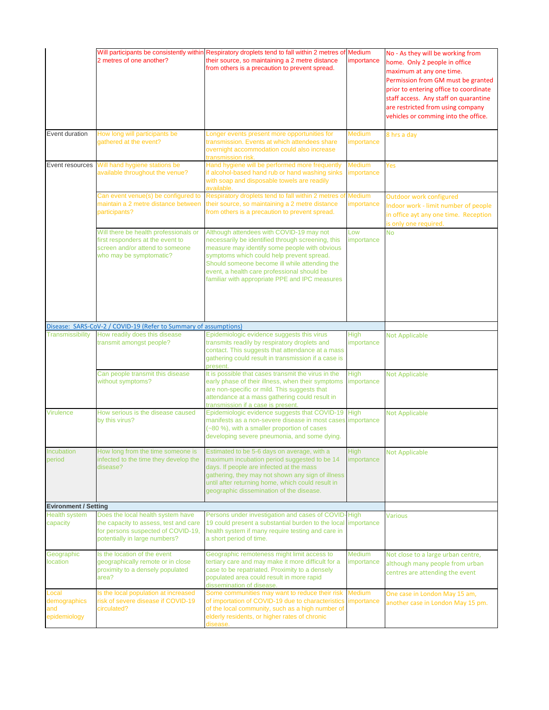|                                              | 2 metres of one another?                                                                                                                          | Will participants be consistently within Respiratory droplets tend to fall within 2 metres of Medium<br>their source, so maintaining a 2 metre distance<br>from others is a precaution to prevent spread.                                                                                                                                     | importance                  | No - As they will be working from<br>home. Only 2 people in office<br>maximum at any one time.<br>Permission from GM must be granted<br>prior to entering office to coordinate<br>staff access. Any staff on quarantine<br>are restricted from using company<br>vehicles or comming into the office. |
|----------------------------------------------|---------------------------------------------------------------------------------------------------------------------------------------------------|-----------------------------------------------------------------------------------------------------------------------------------------------------------------------------------------------------------------------------------------------------------------------------------------------------------------------------------------------|-----------------------------|------------------------------------------------------------------------------------------------------------------------------------------------------------------------------------------------------------------------------------------------------------------------------------------------------|
| Event duration                               | How long will participants be<br>gathered at the event?                                                                                           | Longer events present more opportunities for<br>transmission. Events at which attendees share<br>overnight accommodation could also increase<br>transmission risk.                                                                                                                                                                            | <b>Medium</b><br>importance | 8 hrs a day                                                                                                                                                                                                                                                                                          |
| Event resources                              | Will hand hygiene stations be<br>available throughout the venue?                                                                                  | Hand hygiene will be performed more frequently<br>if alcohol-based hand rub or hand washing sinks<br>with soap and disposable towels are readily<br>available.                                                                                                                                                                                | <b>Medium</b><br>importance | Yes                                                                                                                                                                                                                                                                                                  |
|                                              | Can event venue(s) be configured to<br>maintain a 2 metre distance between<br>participants?                                                       | Respiratory droplets tend to fall within 2 metres of<br>their source, so maintaining a 2 metre distance<br>from others is a precaution to prevent spread.                                                                                                                                                                                     | Medium<br>importance        | Outdoor work configured<br>Indoor work - limit number of people<br>in office ayt any one time. Reception<br>is only one required.                                                                                                                                                                    |
|                                              | Will there be health professionals or<br>first responders at the event to<br>screen and/or attend to someone<br>who may be symptomatic?           | Although attendees with COVID-19 may not<br>necessarily be identified through screening, this<br>measure may identify some people with obvious<br>symptoms which could help prevent spread.<br>Should someone become ill while attending the<br>event, a health care professional should be<br>familiar with appropriate PPE and IPC measures | Low<br>importance           | <b>No</b>                                                                                                                                                                                                                                                                                            |
|                                              | Disease: SARS-CoV-2 / COVID-19 (Refer to Summary of assumptions)                                                                                  |                                                                                                                                                                                                                                                                                                                                               |                             |                                                                                                                                                                                                                                                                                                      |
| Transmissibility                             | How readily does this disease<br>transmit amongst people?                                                                                         | Epidemiologic evidence suggests this virus<br>transmits readily by respiratory droplets and<br>contact. This suggests that attendance at a mass<br>gathering could result in transmission if a case is<br>present.                                                                                                                            | <b>High</b><br>importance   | <b>Not Applicable</b>                                                                                                                                                                                                                                                                                |
|                                              | Can people transmit this disease<br>without symptoms?                                                                                             | It is possible that cases transmit the virus in the<br>early phase of their illness, when their symptoms<br>are non-specific or mild. This suggests that<br>attendance at a mass gathering could result in<br>transmission if a case is present.                                                                                              | <b>High</b><br>importance   | <b>Not Applicable</b>                                                                                                                                                                                                                                                                                |
| <b>Virulence</b>                             | How serious is the disease caused<br>by this virus?                                                                                               | Epidemiologic evidence suggests that COVID-19<br>manifests as a non-severe disease in most cases importance<br>(~80 %), with a smaller proportion of cases<br>developing severe pneumonia, and some dying.                                                                                                                                    | <b>High</b>                 | <b>Not Applicable</b>                                                                                                                                                                                                                                                                                |
| Incubation<br>period                         | How long from the time someone is<br>infected to the time they develop the<br>disease?                                                            | Estimated to be 5-6 days on average, with a<br>maximum incubation period suggested to be 14<br>days. If people are infected at the mass<br>gathering, they may not shown any sign of illness<br>until after returning home, which could result in<br>geographic dissemination of the disease.                                                 | <b>High</b><br>importance   | <b>Not Applicable</b>                                                                                                                                                                                                                                                                                |
| <b>Evironment / Setting</b>                  |                                                                                                                                                   |                                                                                                                                                                                                                                                                                                                                               |                             |                                                                                                                                                                                                                                                                                                      |
| <b>Health system</b><br>capacity             | Does the local health system have<br>the capacity to assess, test and care<br>for persons suspected of COVID-19,<br>potentially in large numbers? | Persons under investigation and cases of COVID-High<br>19 could present a substantial burden to the local importance<br>health system if many require testing and care in<br>a short period of time.                                                                                                                                          |                             | <b>Various</b>                                                                                                                                                                                                                                                                                       |
| Geographic<br>location                       | Is the location of the event<br>geographically remote or in close<br>proximity to a densely populated<br>area?                                    | Geographic remoteness might limit access to<br>tertiary care and may make it more difficult for a<br>case to be repatriated. Proximity to a densely<br>populated area could result in more rapid<br>dissemination of disease.                                                                                                                 | Medium<br>importance        | Not close to a large urban centre,<br>although many people from urban<br>centres are attending the event                                                                                                                                                                                             |
| Local<br>demographics<br>and<br>epidemiology | Is the local population at increased<br>risk of severe disease if COVID-19<br>circulated?                                                         | Some communities may want to reduce their risk<br>of importation of COVID-19 due to characteristics importance<br>of the local community, such as a high number of<br>elderly residents, or higher rates of chronic<br>disease.                                                                                                               | Medium                      | One case in London May 15 am,<br>another case in London May 15 pm.                                                                                                                                                                                                                                   |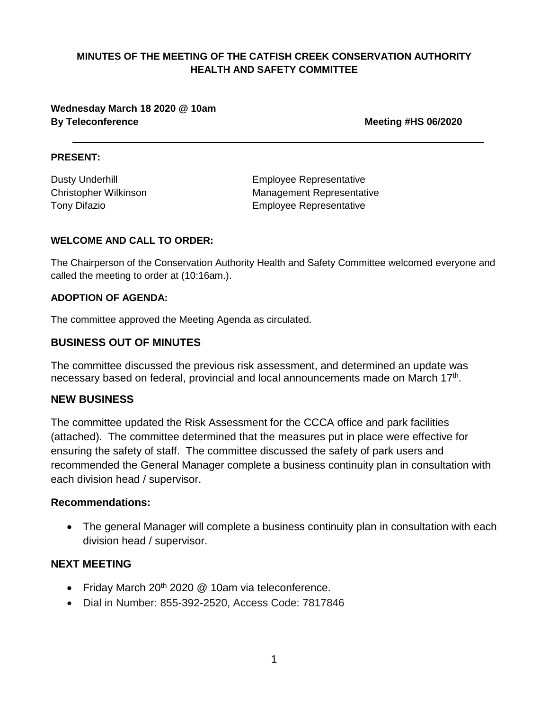**Wednesday March 18 2020 @ 10am By Teleconference <b>Meeting #HS 06/2020** 

#### **PRESENT:**

Dusty Underhill **Employee** Representative Christopher Wilkinson Management Representative Tony Difazio Employee Representative

#### **WELCOME AND CALL TO ORDER:**

The Chairperson of the Conservation Authority Health and Safety Committee welcomed everyone and called the meeting to order at (10:16am.).

#### **ADOPTION OF AGENDA:**

The committee approved the Meeting Agenda as circulated.

### **BUSINESS OUT OF MINUTES**

The committee discussed the previous risk assessment, and determined an update was necessary based on federal, provincial and local announcements made on March 17<sup>th</sup>.

#### **NEW BUSINESS**

The committee updated the Risk Assessment for the CCCA office and park facilities (attached). The committee determined that the measures put in place were effective for ensuring the safety of staff. The committee discussed the safety of park users and recommended the General Manager complete a business continuity plan in consultation with each division head / supervisor.

#### **Recommendations:**

• The general Manager will complete a business continuity plan in consultation with each division head / supervisor.

### **NEXT MEETING**

- Friday March  $20<sup>th</sup> 2020$  @ 10am via teleconference.
- Dial in Number: 855-392-2520, Access Code: 7817846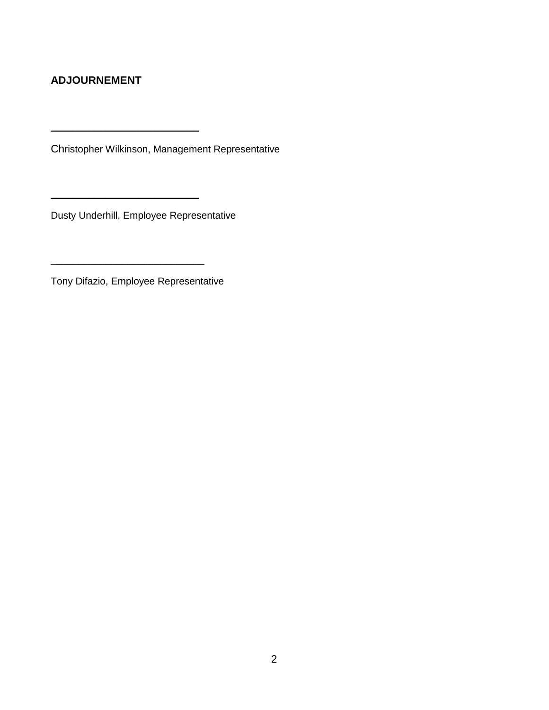## **ADJOURNEMENT**

Christopher Wilkinson, Management Representative

Dusty Underhill, Employee Representative

 $\overline{\phantom{a}}$  , where  $\overline{\phantom{a}}$  , where  $\overline{\phantom{a}}$  , where  $\overline{\phantom{a}}$ 

Tony Difazio, Employee Representative

 $\overline{\phantom{a}}$  , which is a set of the set of the set of the set of the set of the set of the set of the set of the set of the set of the set of the set of the set of the set of the set of the set of the set of the set of th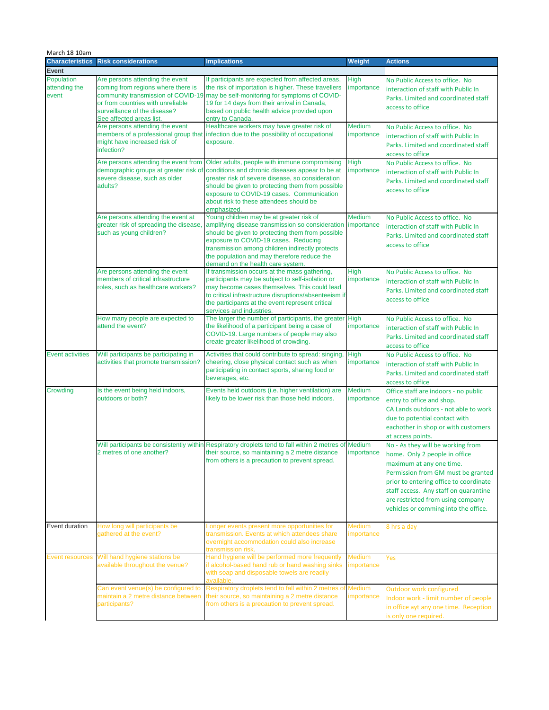| March 18 10am                          |                                                                                                                                                                                                              |                                                                                                                                                                                                                                                                                                                                            |                             |                                                                                                                                                                                                                                                                                                      |
|----------------------------------------|--------------------------------------------------------------------------------------------------------------------------------------------------------------------------------------------------------------|--------------------------------------------------------------------------------------------------------------------------------------------------------------------------------------------------------------------------------------------------------------------------------------------------------------------------------------------|-----------------------------|------------------------------------------------------------------------------------------------------------------------------------------------------------------------------------------------------------------------------------------------------------------------------------------------------|
| <b>Characteristics</b><br><b>Event</b> | <b>Risk considerations</b>                                                                                                                                                                                   | <b>Implications</b>                                                                                                                                                                                                                                                                                                                        | <b>Weight</b>               | <b>Actions</b>                                                                                                                                                                                                                                                                                       |
| Population<br>attending the<br>event   | Are persons attending the event<br>coming from regions where there is<br>community transmission of COVID-19<br>or from countries with unreliable<br>surveillance of the disease?<br>See affected areas list. | If participants are expected from affected areas,<br>the risk of importation is higher. These travellers<br>may be self-monitoring for symptoms of COVID-<br>19 for 14 days from their arrival in Canada,<br>based on public health advice provided upon<br>entry to Canada.                                                               | <b>High</b><br>importance   | No Public Access to office. No<br>interaction of staff with Public In<br>Parks. Limited and coordinated staff<br>access to office                                                                                                                                                                    |
|                                        | Are persons attending the event<br>might have increased risk of<br>infection?                                                                                                                                | Healthcare workers may have greater risk of<br>members of a professional group that infection due to the possibility of occupational<br>exposure.                                                                                                                                                                                          | <b>Medium</b><br>importance | No Public Access to office. No<br>interaction of staff with Public In<br>Parks. Limited and coordinated staff<br>access to office                                                                                                                                                                    |
|                                        | Are persons attending the event from<br>demographic groups at greater risk of<br>severe disease, such as older<br>adults?                                                                                    | Older adults, people with immune compromising<br>conditions and chronic diseases appear to be at<br>greater risk of severe disease, so consideration<br>should be given to protecting them from possible<br>exposure to COVID-19 cases. Communication<br>about risk to these attendees should be<br>emphasized                             | <b>High</b><br>importance   | No Public Access to office. No<br>interaction of staff with Public In<br>Parks. Limited and coordinated staff<br>access to office                                                                                                                                                                    |
|                                        | Are persons attending the event at<br>greater risk of spreading the disease,<br>such as young children?                                                                                                      | Young children may be at greater risk of<br>amplifying disease transmission so consideration importance<br>should be given to protecting them from possible<br>exposure to COVID-19 cases. Reducing<br>transmission among children indirectly protects<br>the population and may therefore reduce the<br>demand on the health care system. | <b>Medium</b>               | No Public Access to office. No<br>interaction of staff with Public In<br>Parks. Limited and coordinated staff<br>access to office                                                                                                                                                                    |
|                                        | Are persons attending the event<br>members of critical infrastructure<br>roles, such as healthcare workers?                                                                                                  | If transmission occurs at the mass gathering,<br>participants may be subject to self-isolation or<br>may become cases themselves. This could lead<br>to critical infrastructure disruptions/absenteeism if<br>the participants at the event represent critical<br>services and industries.                                                 | <b>High</b><br>importance   | No Public Access to office. No<br>interaction of staff with Public In<br>Parks. Limited and coordinated staff<br>access to office                                                                                                                                                                    |
|                                        | How many people are expected to<br>attend the event?                                                                                                                                                         | The larger the number of participants, the greater High<br>the likelihood of a participant being a case of<br>COVID-19. Large numbers of people may also<br>create greater likelihood of crowding.                                                                                                                                         | importance                  | No Public Access to office. No<br>interaction of staff with Public In<br>Parks. Limited and coordinated staff<br>access to office                                                                                                                                                                    |
| <b>Event activities</b>                | Will participants be participating in<br>activities that promote transmission?                                                                                                                               | Activities that could contribute to spread: singing<br>cheering, close physical contact such as when<br>participating in contact sports, sharing food or<br>beverages, etc.                                                                                                                                                                | <b>High</b><br>importance   | No Public Access to office. No<br>interaction of staff with Public In<br>Parks. Limited and coordinated staff<br>access to office                                                                                                                                                                    |
| Crowding                               | Is the event being held indoors,<br>outdoors or both?                                                                                                                                                        | Events held outdoors (i.e. higher ventilation) are<br>likely to be lower risk than those held indoors.                                                                                                                                                                                                                                     | <b>Medium</b><br>importance | Office staff are indoors - no public<br>entry to office and shop.<br>CA Lands outdoors - not able to work<br>due to potential contact with<br>eachother in shop or with customers<br>at access points.                                                                                               |
|                                        | Will participants be consistently within<br>2 metres of one another?                                                                                                                                         | Respiratory droplets tend to fall within 2 metres of Medium<br>their source, so maintaining a 2 metre distance<br>from others is a precaution to prevent spread.                                                                                                                                                                           | importance                  | No - As they will be working from<br>home. Only 2 people in office<br>maximum at any one time.<br>Permission from GM must be granted<br>prior to entering office to coordinate<br>staff access. Any staff on quarantine<br>are restricted from using company<br>vehicles or comming into the office. |
| Event duration                         | How long will participants be<br>gathered at the event?                                                                                                                                                      | Longer events present more opportunities for<br>transmission. Events at which attendees share<br>overnight accommodation could also increase<br>transmission risk.                                                                                                                                                                         | <b>Medium</b><br>importance | 8 hrs a day                                                                                                                                                                                                                                                                                          |
|                                        | Event resources Will hand hygiene stations be<br>available throughout the venue?                                                                                                                             | Hand hygiene will be performed more frequently<br>if alcohol-based hand rub or hand washing sinks<br>with soap and disposable towels are readily<br>available.                                                                                                                                                                             | <b>Medium</b><br>importance | Yes                                                                                                                                                                                                                                                                                                  |
|                                        | Can event venue(s) be configured to<br>maintain a 2 metre distance between<br>participants?                                                                                                                  | Respiratory droplets tend to fall within 2 metres of Medium<br>their source, so maintaining a 2 metre distance<br>from others is a precaution to prevent spread.                                                                                                                                                                           | importance                  | Outdoor work configured<br>Indoor work - limit number of people<br>in office ayt any one time. Reception<br>is only one required.                                                                                                                                                                    |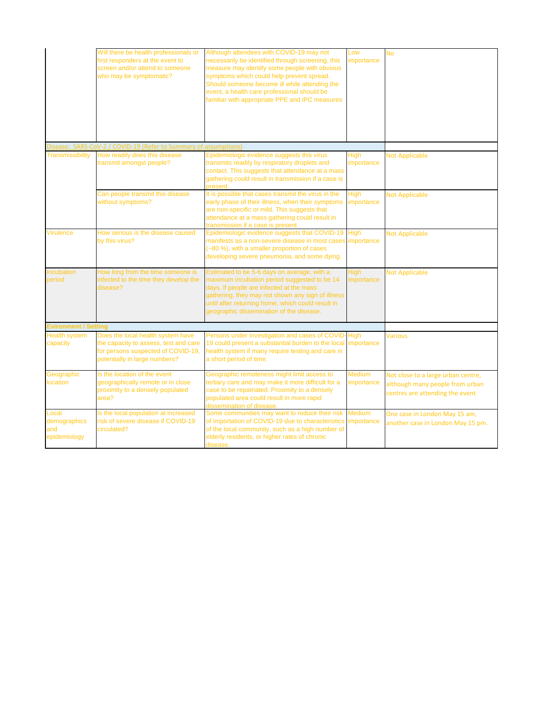|                                              | Will there be health professionals or<br>first responders at the event to<br>screen and/or attend to someone<br>who may be symptomatic?           | Although attendees with COVID-19 may not<br>necessarily be identified through screening, this<br>measure may identify some people with obvious<br>symptoms which could help prevent spread.<br>Should someone become ill while attending the<br>event, a health care professional should be<br>familiar with appropriate PPE and IPC measures | Low<br>importance           | <b>No</b>                                                                                                |
|----------------------------------------------|---------------------------------------------------------------------------------------------------------------------------------------------------|-----------------------------------------------------------------------------------------------------------------------------------------------------------------------------------------------------------------------------------------------------------------------------------------------------------------------------------------------|-----------------------------|----------------------------------------------------------------------------------------------------------|
|                                              | Disease: SARS-CoV-2 / COVID-19 (Refer to Summary of assumptions)                                                                                  |                                                                                                                                                                                                                                                                                                                                               |                             |                                                                                                          |
| <b>Transmissibility</b>                      | How readily does this disease<br>transmit amongst people?                                                                                         | Epidemiologic evidence suggests this virus<br>transmits readily by respiratory droplets and<br>contact. This suggests that attendance at a mass<br>gathering could result in transmission if a case is<br>present.                                                                                                                            | <b>High</b><br>importance   | <b>Not Applicable</b>                                                                                    |
|                                              | Can people transmit this disease<br>without symptoms?                                                                                             | It is possible that cases transmit the virus in the<br>early phase of their illness, when their symptoms<br>are non-specific or mild. This suggests that<br>attendance at a mass gathering could result in<br>transmission if a case is present.                                                                                              | <b>High</b><br>importance   | <b>Not Applicable</b>                                                                                    |
| <b>Virulence</b>                             | How serious is the disease caused<br>by this virus?                                                                                               | Epidemiologic evidence suggests that COVID-19 High<br>manifests as a non-severe disease in most cases importance<br>~80 %), with a smaller proportion of cases<br>developing severe pneumonia, and some dying.                                                                                                                                |                             | <b>Not Applicable</b>                                                                                    |
| Incubation<br>period                         | How long from the time someone is<br>infected to the time they develop the<br>disease?                                                            | Estimated to be 5-6 days on average, with a<br>maximum incubation period suggested to be 14<br>days. If people are infected at the mass<br>gathering, they may not shown any sign of illness<br>until after returning home, which could result in<br>geographic dissemination of the disease.                                                 | <b>High</b><br>importance   | <b>Not Applicable</b>                                                                                    |
| <b>Evironment / Setting</b>                  |                                                                                                                                                   |                                                                                                                                                                                                                                                                                                                                               |                             |                                                                                                          |
| <b>Health system</b><br>capacity             | Does the local health system have<br>the capacity to assess, test and care<br>for persons suspected of COVID-19,<br>potentially in large numbers? | Persons under investigation and cases of COVID-High<br>19 could present a substantial burden to the local importance<br>health system if many require testing and care in<br>a short period of time.                                                                                                                                          |                             | <b>Various</b>                                                                                           |
| Geographic<br><b>location</b>                | Is the location of the event<br>geographically remote or in close<br>proximity to a densely populated<br>area?                                    | Geographic remoteness might limit access to<br>tertiary care and may make it more difficult for a<br>case to be repatriated. Proximity to a densely<br>populated area could result in more rapid<br>dissemination of disease.                                                                                                                 | <b>Medium</b><br>importance | Not close to a large urban centre,<br>although many people from urban<br>centres are attending the event |
| Local<br>demographics<br>and<br>epidemiology | Is the local population at increased<br>risk of severe disease if COVID-19<br>circulated?                                                         | Some communities may want to reduce their risk<br>of importation of COVID-19 due to characteristics<br>of the local community, such as a high number of<br>elderly residents, or higher rates of chronic<br>disease.                                                                                                                          | <b>Medium</b><br>importance | One case in London May 15 am,<br>another case in London May 15 pm.                                       |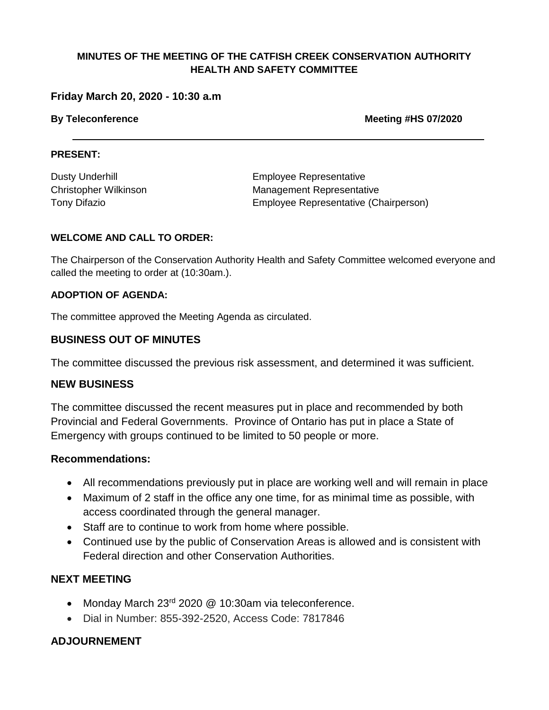#### **Friday March 20, 2020 - 10:30 a.m**

**By Teleconference Meeting #HS 07/2020**

#### **PRESENT:**

| <b>Dusty Underhill</b>       |
|------------------------------|
| <b>Christopher Wilkinson</b> |
| <b>Tony Difazio</b>          |

**Employee Representative** Management Representative Employee Representative (Chairperson)

#### **WELCOME AND CALL TO ORDER:**

The Chairperson of the Conservation Authority Health and Safety Committee welcomed everyone and called the meeting to order at (10:30am.).

#### **ADOPTION OF AGENDA:**

The committee approved the Meeting Agenda as circulated.

#### **BUSINESS OUT OF MINUTES**

The committee discussed the previous risk assessment, and determined it was sufficient.

#### **NEW BUSINESS**

The committee discussed the recent measures put in place and recommended by both Provincial and Federal Governments. Province of Ontario has put in place a State of Emergency with groups continued to be limited to 50 people or more.

#### **Recommendations:**

- All recommendations previously put in place are working well and will remain in place
- Maximum of 2 staff in the office any one time, for as minimal time as possible, with access coordinated through the general manager.
- Staff are to continue to work from home where possible.
- Continued use by the public of Conservation Areas is allowed and is consistent with Federal direction and other Conservation Authorities.

#### **NEXT MEETING**

- Monday March 23<sup>rd</sup> 2020 @ 10:30am via teleconference.
- Dial in Number: 855-392-2520, Access Code: 7817846

### **ADJOURNEMENT**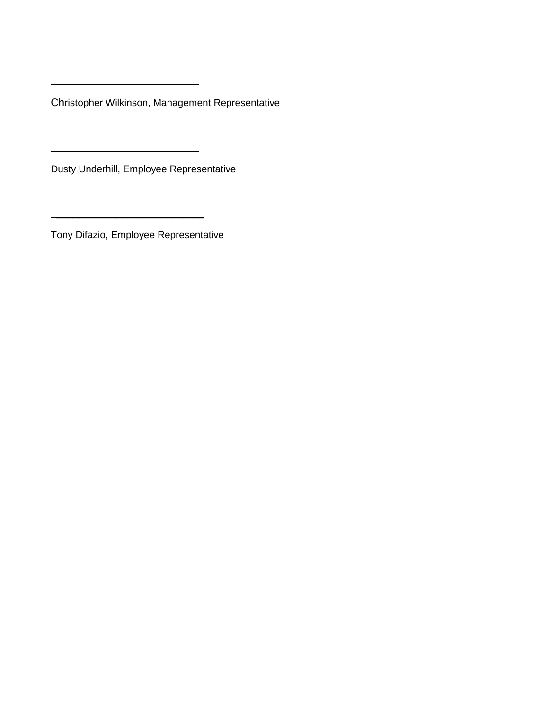Christopher Wilkinson, Management Representative

Dusty Underhill, Employee Representative

 $\overline{\phantom{a}}$  , which is a set of the set of the set of the set of the set of the set of the set of the set of the set of the set of the set of the set of the set of the set of the set of the set of the set of the set of th

 $\overline{\phantom{a}}$  , which is a set of the set of the set of the set of the set of the set of the set of the set of the set of the set of the set of the set of the set of the set of the set of the set of the set of the set of th

Tony Difazio, Employee Representative

 $\overline{\phantom{a}}$  , and the set of the set of the set of the set of the set of the set of the set of the set of the set of the set of the set of the set of the set of the set of the set of the set of the set of the set of the s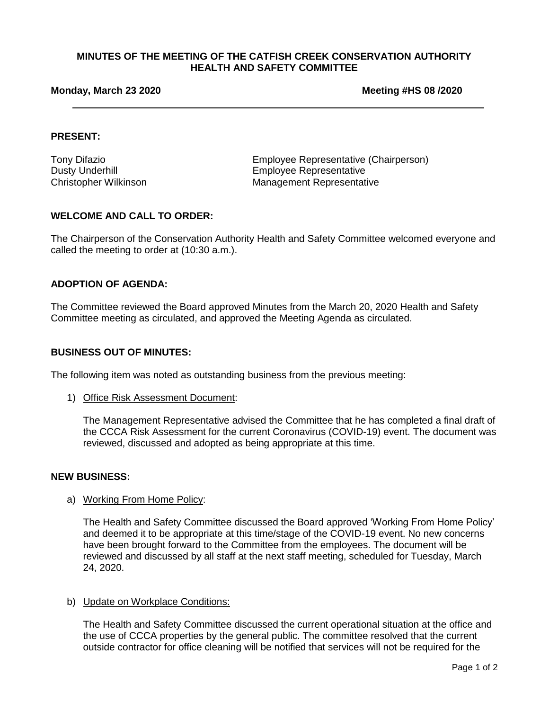#### **Monday, March 23 2020 Meeting #HS 08 /2020**

#### **PRESENT:**

Tony Difazio Employee Representative (Chairperson) Dusty Underhill **Employee Representative** Christopher Wilkinson Management Representative

#### **WELCOME AND CALL TO ORDER:**

The Chairperson of the Conservation Authority Health and Safety Committee welcomed everyone and called the meeting to order at (10:30 a.m.).

#### **ADOPTION OF AGENDA:**

The Committee reviewed the Board approved Minutes from the March 20, 2020 Health and Safety Committee meeting as circulated, and approved the Meeting Agenda as circulated.

#### **BUSINESS OUT OF MINUTES:**

The following item was noted as outstanding business from the previous meeting:

1) Office Risk Assessment Document:

The Management Representative advised the Committee that he has completed a final draft of the CCCA Risk Assessment for the current Coronavirus (COVID-19) event. The document was reviewed, discussed and adopted as being appropriate at this time.

#### **NEW BUSINESS:**

#### a) Working From Home Policy:

The Health and Safety Committee discussed the Board approved 'Working From Home Policy' and deemed it to be appropriate at this time/stage of the COVID-19 event. No new concerns have been brought forward to the Committee from the employees. The document will be reviewed and discussed by all staff at the next staff meeting, scheduled for Tuesday, March 24, 2020.

#### b) Update on Workplace Conditions:

The Health and Safety Committee discussed the current operational situation at the office and the use of CCCA properties by the general public. The committee resolved that the current outside contractor for office cleaning will be notified that services will not be required for the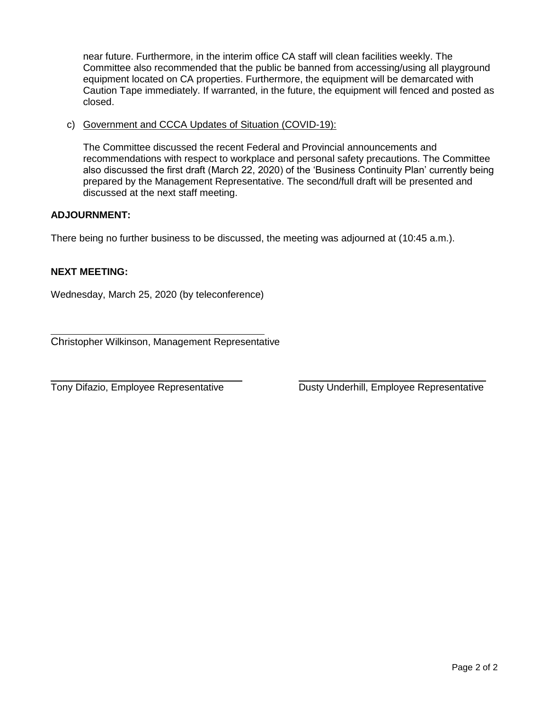near future. Furthermore, in the interim office CA staff will clean facilities weekly. The Committee also recommended that the public be banned from accessing/using all playground equipment located on CA properties. Furthermore, the equipment will be demarcated with Caution Tape immediately. If warranted, in the future, the equipment will fenced and posted as closed.

c) Government and CCCA Updates of Situation (COVID-19):

The Committee discussed the recent Federal and Provincial announcements and recommendations with respect to workplace and personal safety precautions. The Committee also discussed the first draft (March 22, 2020) of the 'Business Continuity Plan' currently being prepared by the Management Representative. The second/full draft will be presented and discussed at the next staff meeting.

#### **ADJOURNMENT:**

There being no further business to be discussed, the meeting was adjourned at (10:45 a.m.).

#### **NEXT MEETING:**

 $\overline{a}$ 

Wednesday, March 25, 2020 (by teleconference)

Christopher Wilkinson, Management Representative

 $\overline{a}$ 

Tony Difazio, Employee Representative Dusty Underhill, Employee Representative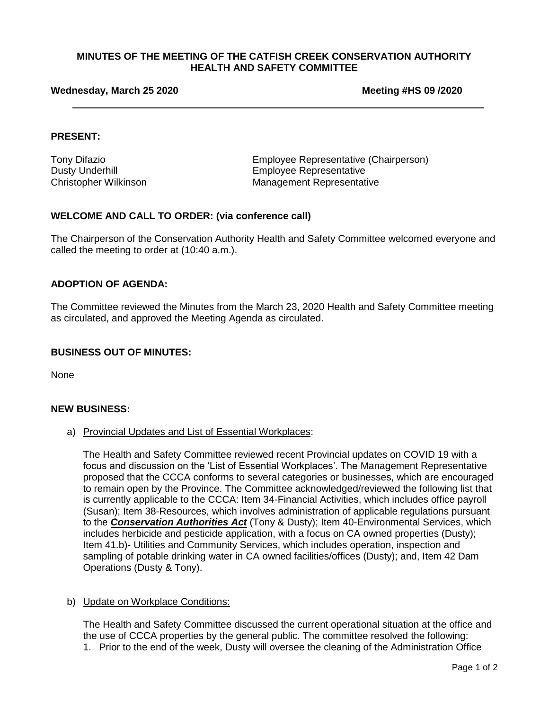#### **Wednesday, March 25 2020 Meeting #HS 09 /2020**

#### **PRESENT:**

Tony Difazio Employee Representative (Chairperson) Dusty Underhill **Employee Representative** Christopher Wilkinson Management Representative

#### **WELCOME AND CALL TO ORDER: (via conference call)**

The Chairperson of the Conservation Authority Health and Safety Committee welcomed everyone and called the meeting to order at (10:40 a.m.).

#### **ADOPTION OF AGENDA:**

The Committee reviewed the Minutes from the March 23, 2020 Health and Safety Committee meeting as circulated, and approved the Meeting Agenda as circulated.

#### **BUSINESS OUT OF MINUTES:**

None

#### **NEW BUSINESS:**

a) Provincial Updates and List of Essential Workplaces:

The Health and Safety Committee reviewed recent Provincial updates on COVID 19 with a focus and discussion on the 'List of Essential Workplaces'. The Management Representative proposed that the CCCA conforms to several categories or businesses, which are encouraged to remain open by the Province. The Committee acknowledged/reviewed the following list that is currently applicable to the CCCA: Item 34-Financial Activities, which includes office payroll (Susan); Item 38-Resources, which involves administration of applicable regulations pursuant to the *Conservation Authorities Act* (Tony & Dusty); Item 40-Environmental Services, which includes herbicide and pesticide application, with a focus on CA owned properties (Dusty); Item 41.b)- Utilities and Community Services, which includes operation, inspection and sampling of potable drinking water in CA owned facilities/offices (Dusty); and, Item 42 Dam Operations (Dusty & Tony).

#### b) Update on Workplace Conditions:

The Health and Safety Committee discussed the current operational situation at the office and the use of CCCA properties by the general public. The committee resolved the following: 1. Prior to the end of the week, Dusty will oversee the cleaning of the Administration Office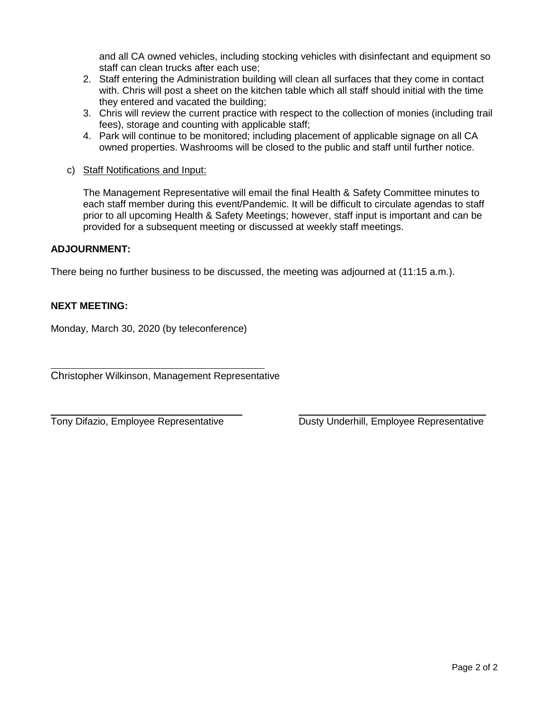and all CA owned vehicles, including stocking vehicles with disinfectant and equipment so staff can clean trucks after each use;

- 2. Staff entering the Administration building will clean all surfaces that they come in contact with. Chris will post a sheet on the kitchen table which all staff should initial with the time they entered and vacated the building;
- 3. Chris will review the current practice with respect to the collection of monies (including trail fees), storage and counting with applicable staff;
- 4. Park will continue to be monitored; including placement of applicable signage on all CA owned properties. Washrooms will be closed to the public and staff until further notice.
- c) Staff Notifications and Input:

The Management Representative will email the final Health & Safety Committee minutes to each staff member during this event/Pandemic. It will be difficult to circulate agendas to staff prior to all upcoming Health & Safety Meetings; however, staff input is important and can be provided for a subsequent meeting or discussed at weekly staff meetings.

#### **ADJOURNMENT:**

There being no further business to be discussed, the meeting was adjourned at (11:15 a.m.).

#### **NEXT MEETING:**

l

 $\overline{a}$ 

Monday, March 30, 2020 (by teleconference)

Christopher Wilkinson, Management Representative

Tony Difazio, Employee Representative **Dusty Underhill, Employee Representative**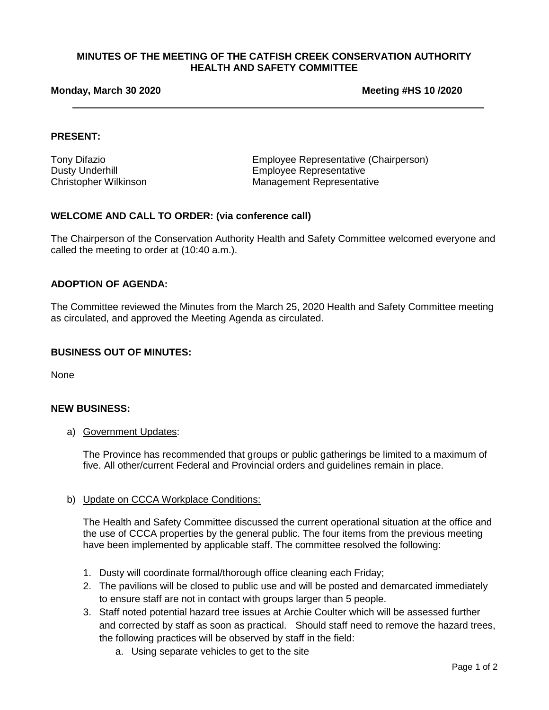#### **Monday, March 30 2020 Meeting #HS 10 /2020**

#### **PRESENT:**

Tony Difazio Employee Representative (Chairperson) Dusty Underhill Employee Representative Christopher Wilkinson Management Representative

#### **WELCOME AND CALL TO ORDER: (via conference call)**

The Chairperson of the Conservation Authority Health and Safety Committee welcomed everyone and called the meeting to order at (10:40 a.m.).

#### **ADOPTION OF AGENDA:**

The Committee reviewed the Minutes from the March 25, 2020 Health and Safety Committee meeting as circulated, and approved the Meeting Agenda as circulated.

#### **BUSINESS OUT OF MINUTES:**

None

#### **NEW BUSINESS:**

a) Government Updates:

The Province has recommended that groups or public gatherings be limited to a maximum of five. All other/current Federal and Provincial orders and guidelines remain in place.

#### b) Update on CCCA Workplace Conditions:

The Health and Safety Committee discussed the current operational situation at the office and the use of CCCA properties by the general public. The four items from the previous meeting have been implemented by applicable staff. The committee resolved the following:

- 1. Dusty will coordinate formal/thorough office cleaning each Friday;
- 2. The pavilions will be closed to public use and will be posted and demarcated immediately to ensure staff are not in contact with groups larger than 5 people.
- 3. Staff noted potential hazard tree issues at Archie Coulter which will be assessed further and corrected by staff as soon as practical. Should staff need to remove the hazard trees, the following practices will be observed by staff in the field:
	- a. Using separate vehicles to get to the site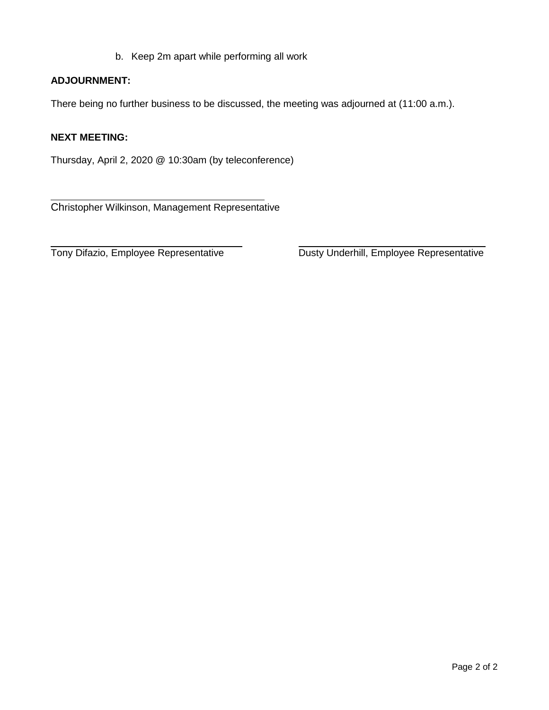b. Keep 2m apart while performing all work

#### **ADJOURNMENT:**

There being no further business to be discussed, the meeting was adjourned at (11:00 a.m.).

#### **NEXT MEETING:**

 $\overline{a}$ 

Thursday, April 2, 2020 @ 10:30am (by teleconference)

Christopher Wilkinson, Management Representative

Tony Difazio, Employee Representative

Dusty Underhill, Employee Representative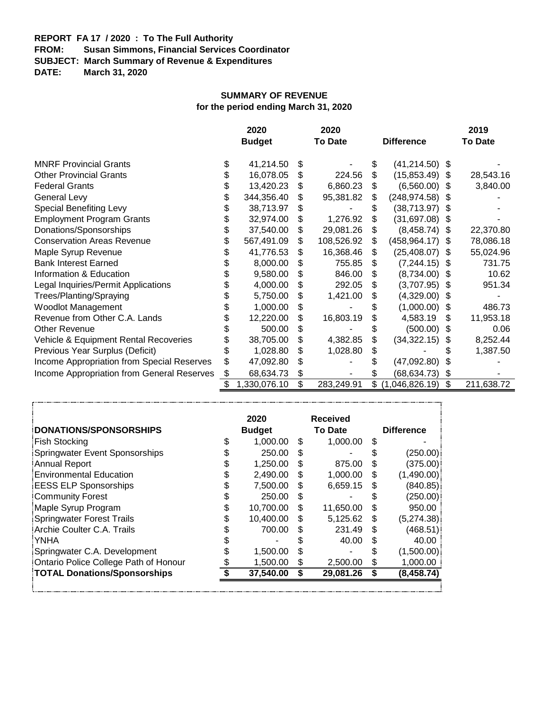# **REPORT FA 17 / 2020 : To The Full Authority**

**Susan Simmons, Financial Services Coordinator** 

**SUBJECT: March Summary of Revenue & Expenditures**

**DATE: March 31, 2020**

#### **SUMMARY OF REVENUE**

**for the period ending March 31, 2020**

|                                            | 2020 |               |    | 2020           |    |                   |      | 2019           |
|--------------------------------------------|------|---------------|----|----------------|----|-------------------|------|----------------|
|                                            |      | <b>Budget</b> |    | <b>To Date</b> |    | <b>Difference</b> |      | <b>To Date</b> |
| <b>MNRF Provincial Grants</b>              | \$   | 41,214.50     | S  |                | \$ | $(41, 214.50)$ \$ |      |                |
| <b>Other Provincial Grants</b>             | \$   | 16,078.05     | S  | 224.56         | \$ | $(15,853.49)$ \$  |      | 28,543.16      |
| <b>Federal Grants</b>                      | \$   | 13,420.23     | S  | 6,860.23       | \$ | $(6,560.00)$ \$   |      | 3,840.00       |
| General Levy                               | \$   | 344,356.40    | \$ | 95,381.82      | \$ | (248, 974.58)     | - \$ |                |
| <b>Special Benefiting Levy</b>             | \$   | 38,713.97     | \$ |                | \$ | $(38, 713.97)$ \$ |      |                |
| <b>Employment Program Grants</b>           | \$   | 32,974.00     | \$ | 1,276.92       | \$ | $(31,697.08)$ \$  |      |                |
| Donations/Sponsorships                     | \$   | 37,540.00     | S  | 29,081.26      |    | $(8,458.74)$ \$   |      | 22,370.80      |
| <b>Conservation Areas Revenue</b>          | \$   | 567,491.09    | \$ | 108,526.92     | \$ | (458, 964.17)     | -S   | 78,086.18      |
| Maple Syrup Revenue                        | \$   | 41,776.53     | \$ | 16,368.46      | \$ | (25, 408.07)      | - \$ | 55,024.96      |
| <b>Bank Interest Earned</b>                | \$   | 8,000.00      |    | 755.85         | \$ | $(7,244.15)$ \$   |      | 731.75         |
| Information & Education                    | \$   | 9,580.00      |    | 846.00         | \$ | $(8,734.00)$ \$   |      | 10.62          |
| Legal Inquiries/Permit Applications        | \$   | 4,000.00      | S  | 292.05         | S  | $(3,707.95)$ \$   |      | 951.34         |
| Trees/Planting/Spraying                    | \$   | 5,750.00      | \$ | 1,421.00       | \$ | (4,329.00)        | - \$ |                |
| <b>Woodlot Management</b>                  | \$   | 1,000.00      | \$ |                |    | $(1,000.00)$ \$   |      | 486.73         |
| Revenue from Other C.A. Lands              | \$   | 12,220.00     | \$ | 16,803.19      |    | 4,583.19          | S    | 11,953.18      |
| <b>Other Revenue</b>                       |      | 500.00        | \$ |                |    | $(500.00)$ \$     |      | 0.06           |
| Vehicle & Equipment Rental Recoveries      |      | 38,705.00     | \$ | 4,382.85       | \$ | (34, 322.15)      | \$   | 8,252.44       |
| Previous Year Surplus (Deficit)            | \$   | 1,028.80      | \$ | 1,028.80       | \$ |                   |      | 1,387.50       |
| Income Appropriation from Special Reserves | \$   | 47,092.80     | \$ |                |    | (47,092.80)       |      |                |
| Income Appropriation from General Reserves | \$   | 68,634.73     | \$ |                |    | (68, 634.73)      | S    |                |
|                                            | \$   | ,330,076.10   | \$ | 283,249.91     | \$ | (1,046,826.19)    | \$   | 211,638.72     |

|                                       |   | 2020          |     | <b>Received</b> |     |                   |
|---------------------------------------|---|---------------|-----|-----------------|-----|-------------------|
| DONATIONS/SPONSORSHIPS                |   | <b>Budget</b> |     | <b>To Date</b>  |     | <b>Difference</b> |
| <b>Fish Stocking</b>                  |   | 1.000.00      | \$. | 1,000.00        | S   |                   |
| Springwater Event Sponsorships        |   | 250.00        | \$. |                 |     | (250.00)          |
| <b>Annual Report</b>                  | S | 1.250.00      | \$. | 875.00          | S   | (375.00)          |
| <b>Environmental Education</b>        | S | 2,490.00      | \$. | 1,000.00        | S   | (1,490.00)        |
| <b>EESS ELP Sponsorships</b>          |   | 7.500.00      | \$. | 6,659.15        | S   | (840.85)          |
| Community Forest                      | S | 250.00        | \$. |                 | S.  | (250.00)          |
| Maple Syrup Program                   |   | 10,700.00     | \$  | 11,650.00       | \$  | 950.00            |
| <b>Springwater Forest Trails</b>      |   | 10,400.00     | \$  | 5,125.62        | \$  | (5,274.38)        |
| Archie Coulter C.A. Trails            |   | 700.00        | \$. | 231.49          | \$. | (468.51)          |
| <b>YNHA</b>                           |   |               |     | 40.00           | S   | 40.00             |
| Springwater C.A. Development          |   | 1,500.00      | \$. |                 |     | (1,500.00)        |
| Ontario Police College Path of Honour |   | 1,500.00      | S   | 2,500.00        | \$  | 1,000.00          |
| <b>TOTAL Donations/Sponsorships</b>   |   | 37,540.00     |     | 29,081.26       | \$  | (8, 458.74)       |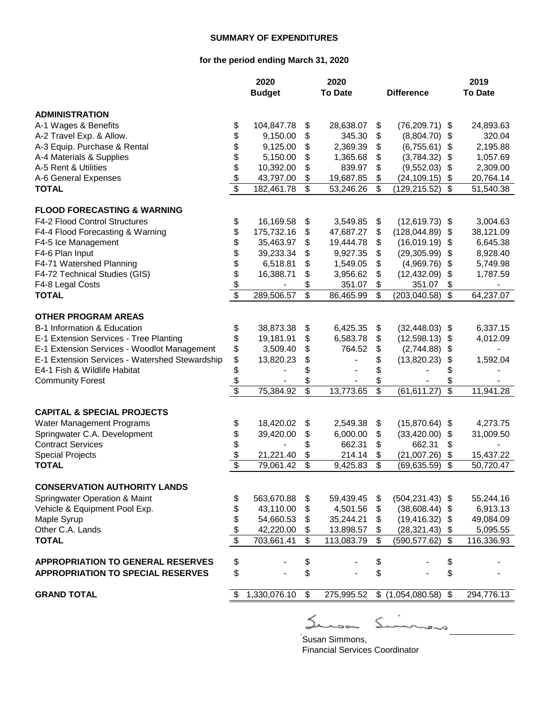#### **SUMMARY OF EXPENDITURES**

#### **for the period ending March 31, 2020**

|                                                                                | 2020                    |               |                          | 2020           |                         |                    |                          | 2019           |
|--------------------------------------------------------------------------------|-------------------------|---------------|--------------------------|----------------|-------------------------|--------------------|--------------------------|----------------|
|                                                                                |                         | <b>Budget</b> |                          | <b>To Date</b> |                         | <b>Difference</b>  |                          | <b>To Date</b> |
| <b>ADMINISTRATION</b>                                                          |                         |               |                          |                |                         |                    |                          |                |
| A-1 Wages & Benefits                                                           | \$                      | 104,847.78    | \$                       | 28,638.07      | \$                      | $(76,209.71)$ \$   |                          | 24,893.63      |
| A-2 Travel Exp. & Allow.                                                       | \$                      | 9,150.00      | \$                       | 345.30         | \$                      | (8,804.70)         | \$                       | 320.04         |
| A-3 Equip. Purchase & Rental                                                   | \$                      | 9,125.00      | \$                       | 2,369.39       | \$                      | (6,755.61)         | $\boldsymbol{\theta}$    | 2,195.88       |
| A-4 Materials & Supplies                                                       | \$                      | 5,150.00      | \$                       | 1,365.68       | \$                      | (3,784.32)         | \$                       | 1,057.69       |
| A-5 Rent & Utilities                                                           | \$                      | 10,392.00     | \$                       | 839.97         | \$                      | (9,552.03)         | $\frac{1}{2}$            | 2,309.00       |
| A-6 General Expenses                                                           | $\frac{1}{2}$           | 43,797.00     | \$                       | 19,687.85      | \$                      | (24, 109.15)       | \$                       | 20,764.14      |
| <b>TOTAL</b>                                                                   | $\overline{\$}$         | 182,461.78    | \$                       | 53,246.26      | \$                      | (129,215.52)       | \$                       | 51,540.38      |
| <b>FLOOD FORECASTING &amp; WARNING</b>                                         |                         |               |                          |                |                         |                    |                          |                |
| F4-2 Flood Control Structures                                                  | \$                      | 16,169.58     | \$                       | 3,549.85       | \$                      | $(12,619.73)$ \$   |                          | 3,004.63       |
| F4-4 Flood Forecasting & Warning                                               | \$                      | 175,732.16    | \$                       | 47,687.27      | \$                      | (128, 044.89)      | \$                       | 38,121.09      |
| F4-5 Ice Management                                                            | \$                      | 35,463.97     | \$                       | 19,444.78      | \$                      | (16,019.19)        | \$                       | 6,645.38       |
| F4-6 Plan Input                                                                | \$                      | 39,233.34     | \$                       | 9,927.35       | \$                      | (29, 305.99)       | \$                       | 8,928.40       |
| F4-71 Watershed Planning                                                       | \$                      | 6,518.81      | \$                       | 1,549.05       | \$                      | (4,969.76)         | \$                       | 5,749.98       |
| F4-72 Technical Studies (GIS)                                                  | \$                      | 16,388.71     | \$                       | 3,956.62       | \$                      | (12, 432.09)       | \$                       | 1,787.59       |
| F4-8 Legal Costs                                                               |                         |               | \$                       | 351.07         | \$                      | 351.07             | \$                       |                |
| <b>TOTAL</b>                                                                   | $\frac{6}{3}$           | 289,506.57    | \$                       | 86,465.99      | \$                      | (203, 040.58)      | \$                       | 64,237.07      |
|                                                                                |                         |               |                          |                |                         |                    |                          |                |
| <b>OTHER PROGRAM AREAS</b>                                                     |                         |               |                          |                |                         |                    |                          |                |
| B-1 Information & Education                                                    | \$                      | 38,873.38     | \$                       | 6,425.35       | \$                      | $(32, 448.03)$ \$  |                          | 6,337.15       |
| E-1 Extension Services - Tree Planting                                         | \$                      | 19,181.91     | \$                       | 6,583.78       | \$                      | (12,598.13)        | \$                       | 4,012.09       |
| E-1 Extension Services - Woodlot Management                                    | \$<br>\$                | 3,509.40      | \$                       | 764.52         | \$                      | (2,744.88)         | \$                       |                |
| E-1 Extension Services - Watershed Stewardship<br>E4-1 Fish & Wildlife Habitat | \$                      | 13,820.23     | \$                       |                | \$                      | (13,820.23)        | \$                       | 1,592.04       |
| <b>Community Forest</b>                                                        | \$                      |               | \$<br>\$                 |                | \$<br>\$                |                    |                          |                |
|                                                                                | \$                      | 75,384.92     | $\overline{\mathcal{S}}$ | 13,773.65      | $\overline{\$}$         | (61, 611.27)       | $\overline{\mathcal{S}}$ | 11,941.28      |
|                                                                                |                         |               |                          |                |                         |                    |                          |                |
| <b>CAPITAL &amp; SPECIAL PROJECTS</b>                                          |                         |               |                          |                |                         |                    |                          |                |
| Water Management Programs                                                      | \$                      | 18,420.02     | \$                       | 2,549.38       | \$                      | $(15,870.64)$ \$   |                          | 4,273.75       |
| Springwater C.A. Development                                                   | \$                      | 39,420.00     | \$                       | 6,000.00       | \$                      | (33, 420.00)       | \$                       | 31,009.50      |
| <b>Contract Services</b>                                                       | \$                      |               | \$                       | 662.31         | \$                      | 662.31             | \$                       |                |
| <b>Special Projects</b>                                                        | \$                      | 21,221.40     | \$                       | 214.14         | \$                      | (21,007.26)        | \$                       | 15,437.22      |
| <b>TOTAL</b>                                                                   | $\overline{\mathbb{S}}$ | 79,061.42     | $\mathfrak{S}$           | 9,425.83       | $\mathfrak{S}$          | (69, 635.59)       | \$                       | 50,720.47      |
| <b>CONSERVATION AUTHORITY LANDS</b>                                            |                         |               |                          |                |                         |                    |                          |                |
| <b>Springwater Operation &amp; Maint</b>                                       | \$                      | 563,670.88    | \$                       | 59,439.45      | \$                      | $(504, 231.43)$ \$ |                          | 55,244.16      |
| Vehicle & Equipment Pool Exp.                                                  | \$                      | 43,110.00     | \$                       | 4,501.56       | \$                      | $(38,608.44)$ \$   |                          | 6,913.13       |
| Maple Syrup                                                                    |                         | 54,660.53     | \$                       | 35,244.21      | \$                      | $(19, 416.32)$ \$  |                          | 49,084.09      |
| Other C.A. Lands                                                               | \$                      | 42,220.00     | \$                       | 13,898.57      | \$                      | (28, 321.43)       | \$                       | 5,095.55       |
| <b>TOTAL</b>                                                                   | $\overline{\$}$         | 703,661.41    | \$                       | 113,083.79     | $\overline{\mathbf{s}}$ | (590, 577.62)      | \$                       | 116,336.93     |
| <b>APPROPRIATION TO GENERAL RESERVES</b>                                       |                         |               |                          |                |                         |                    |                          |                |
| <b>APPROPRIATION TO SPECIAL RESERVES</b>                                       | \$<br>\$                |               | \$<br>\$                 |                | \$<br>\$                |                    | \$<br>\$                 |                |
|                                                                                |                         |               |                          |                |                         |                    |                          |                |
| <b>GRAND TOTAL</b>                                                             | \$                      | 1,330,076.10  | $\mathfrak{S}$           | 275,995.52     |                         | \$(1,054,080.58)   | $\mathfrak{S}$           | 294,776.13     |
|                                                                                |                         |               |                          |                |                         |                    |                          |                |

 $S_{\text{unimons}}$ Susan Simmons,

 $\leq$ 

Financial Services Coordinator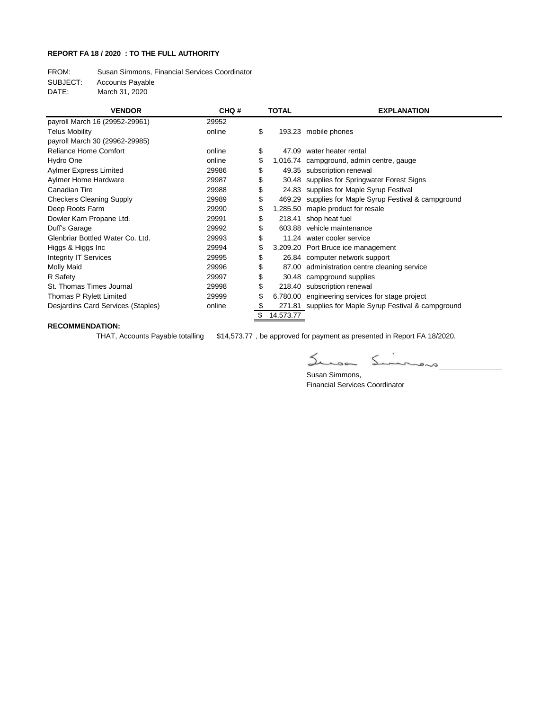#### **REPORT FA 18 / 2020 : TO THE FULL AUTHORITY**

FROM: Susan Simmons, Financial Services Coordinator

SUBJECT: Accounts Payable

DATE: March 31, 2020

| <b>VENDOR</b>                      | CHQ#   | <b>TOTAL</b>    | <b>EXPLANATION</b>                                    |
|------------------------------------|--------|-----------------|-------------------------------------------------------|
| payroll March 16 (29952-29961)     | 29952  |                 |                                                       |
| <b>Telus Mobility</b>              | online | \$              | 193.23 mobile phones                                  |
| payroll March 30 (29962-29985)     |        |                 |                                                       |
| <b>Reliance Home Comfort</b>       | online | \$<br>47.09     | water heater rental                                   |
| Hydro One                          | online | \$              | 1,016.74 campground, admin centre, gauge              |
| <b>Aylmer Express Limited</b>      | 29986  | \$              | 49.35 subscription renewal                            |
| Aylmer Home Hardware               | 29987  | \$              | 30.48 supplies for Springwater Forest Signs           |
| Canadian Tire                      | 29988  | \$              | 24.83 supplies for Maple Syrup Festival               |
| <b>Checkers Cleaning Supply</b>    | 29989  | \$              | 469.29 supplies for Maple Syrup Festival & campground |
| Deep Roots Farm                    | 29990  | \$              | 1,285.50 maple product for resale                     |
| Dowler Karn Propane Ltd.           | 29991  | \$<br>218.41    | shop heat fuel                                        |
| Duff's Garage                      | 29992  | \$              | 603.88 vehicle maintenance                            |
| Glenbriar Bottled Water Co. Ltd.   | 29993  | \$              | 11.24 water cooler service                            |
| Higgs & Higgs Inc                  | 29994  | \$              | 3,209.20 Port Bruce ice management                    |
| <b>Integrity IT Services</b>       | 29995  | \$              | 26.84 computer network support                        |
| <b>Molly Maid</b>                  | 29996  |                 | 87.00 administration centre cleaning service          |
| R Safety                           | 29997  | \$              | 30.48 campground supplies                             |
| St. Thomas Times Journal           | 29998  | \$              | 218.40 subscription renewal                           |
| Thomas P Rylett Limited            | 29999  | \$              | 6,780.00 engineering services for stage project       |
| Desjardins Card Services (Staples) | online | \$              | 271.81 supplies for Maple Syrup Festival & campground |
|                                    |        | \$<br>14,573.77 |                                                       |

#### **RECOMMENDATION:**

THAT, Accounts Payable totalling \$14,573.77 , be approved for payment as presented in Report FA 18/2020.

乙  $\overbrace{\hspace{2.5cm}}^{\sim}$  $\leq$ 

Susan Simmons, Financial Services Coordinator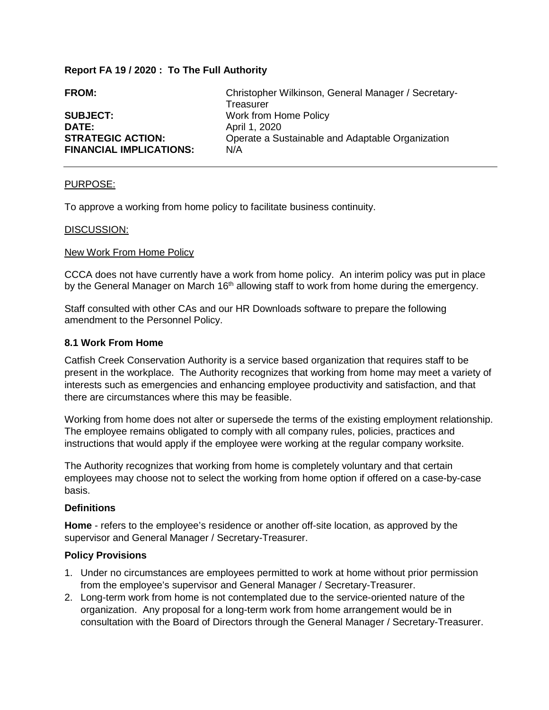#### **Report FA 19 / 2020 : To The Full Authority**

| <b>FROM:</b>                   | Christopher Wilkinson, General Manager / Secretary- |
|--------------------------------|-----------------------------------------------------|
|                                | Treasurer                                           |
| <b>SUBJECT:</b>                | Work from Home Policy                               |
| <b>DATE:</b>                   | April 1, 2020                                       |
| <b>STRATEGIC ACTION:</b>       | Operate a Sustainable and Adaptable Organization    |
| <b>FINANCIAL IMPLICATIONS:</b> | N/A                                                 |

#### PURPOSE:

To approve a working from home policy to facilitate business continuity.

#### DISCUSSION:

#### New Work From Home Policy

CCCA does not have currently have a work from home policy. An interim policy was put in place by the General Manager on March 16<sup>th</sup> allowing staff to work from home during the emergency.

Staff consulted with other CAs and our HR Downloads software to prepare the following amendment to the Personnel Policy.

#### **8.1 Work From Home**

Catfish Creek Conservation Authority is a service based organization that requires staff to be present in the workplace. The Authority recognizes that working from home may meet a variety of interests such as emergencies and enhancing employee productivity and satisfaction, and that there are circumstances where this may be feasible.

Working from home does not alter or supersede the terms of the existing employment relationship. The employee remains obligated to comply with all company rules, policies, practices and instructions that would apply if the employee were working at the regular company worksite.

The Authority recognizes that working from home is completely voluntary and that certain employees may choose not to select the working from home option if offered on a case-by-case basis.

#### **Definitions**

**Home** - refers to the employee's residence or another off-site location, as approved by the supervisor and General Manager / Secretary-Treasurer.

#### **Policy Provisions**

- 1. Under no circumstances are employees permitted to work at home without prior permission from the employee's supervisor and General Manager / Secretary-Treasurer.
- 2. Long-term work from home is not contemplated due to the service-oriented nature of the organization. Any proposal for a long-term work from home arrangement would be in consultation with the Board of Directors through the General Manager / Secretary-Treasurer.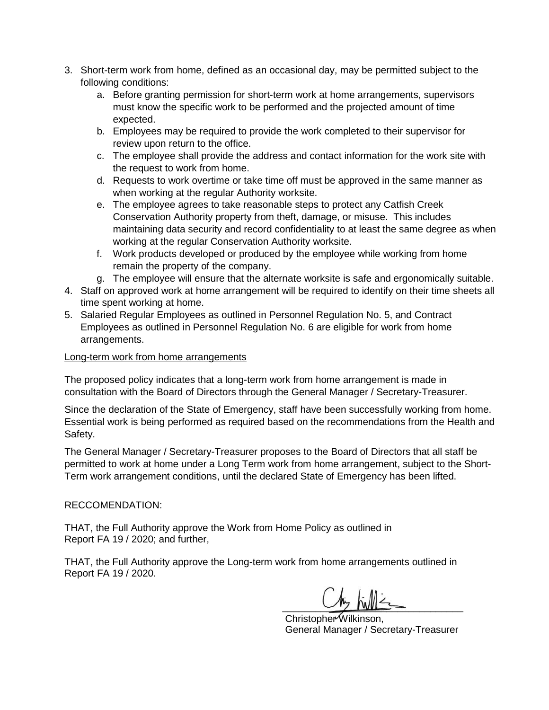- 3. Short-term work from home, defined as an occasional day, may be permitted subject to the following conditions:
	- a. Before granting permission for short-term work at home arrangements, supervisors must know the specific work to be performed and the projected amount of time expected.
	- b. Employees may be required to provide the work completed to their supervisor for review upon return to the office.
	- c. The employee shall provide the address and contact information for the work site with the request to work from home.
	- d. Requests to work overtime or take time off must be approved in the same manner as when working at the regular Authority worksite.
	- e. The employee agrees to take reasonable steps to protect any Catfish Creek Conservation Authority property from theft, damage, or misuse. This includes maintaining data security and record confidentiality to at least the same degree as when working at the regular Conservation Authority worksite.
	- f. Work products developed or produced by the employee while working from home remain the property of the company.
	- g. The employee will ensure that the alternate worksite is safe and ergonomically suitable.
- 4. Staff on approved work at home arrangement will be required to identify on their time sheets all time spent working at home.
- 5. Salaried Regular Employees as outlined in Personnel Regulation No. 5, and Contract Employees as outlined in Personnel Regulation No. 6 are eligible for work from home arrangements.

#### Long-term work from home arrangements

The proposed policy indicates that a long-term work from home arrangement is made in consultation with the Board of Directors through the General Manager / Secretary-Treasurer.

Since the declaration of the State of Emergency, staff have been successfully working from home. Essential work is being performed as required based on the recommendations from the Health and Safety.

The General Manager / Secretary-Treasurer proposes to the Board of Directors that all staff be permitted to work at home under a Long Term work from home arrangement, subject to the Short-Term work arrangement conditions, until the declared State of Emergency has been lifted.

#### RECCOMENDATION:

THAT, the Full Authority approve the Work from Home Policy as outlined in Report FA 19 / 2020; and further,

THAT, the Full Authority approve the Long-term work from home arrangements outlined in Report FA 19 / 2020.

 $\sim$   $\sim$   $\sim$   $\sim$   $\sim$   $\sim$ 

Christopher Wilkinson, General Manager / Secretary-Treasurer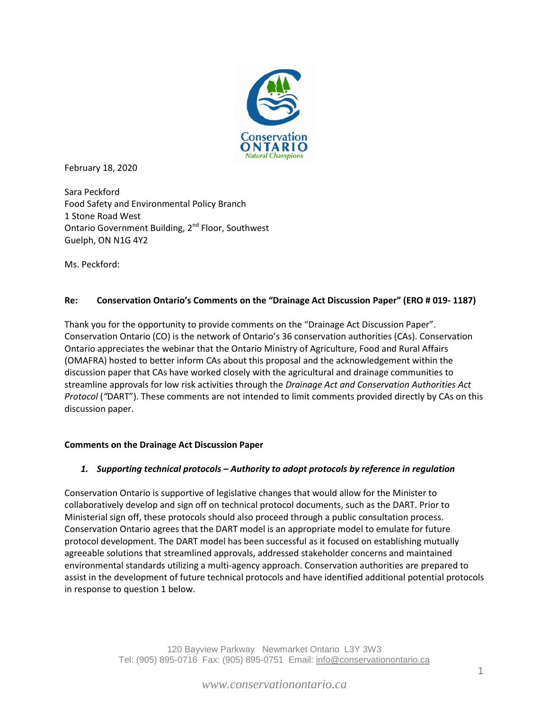

February 18, 2020

Sara Peckford Food Safety and Environmental Policy Branch 1 Stone Road West Ontario Government Building, 2<sup>nd</sup> Floor, Southwest Guelph, ON N1G 4Y2

Ms. Peckford:

#### **Re: Conservation Ontario's Comments on the "Drainage Act Discussion Paper" (ERO # 019- 1187)**

Thank you for the opportunity to provide comments on the "Drainage Act Discussion Paper". Conservation Ontario (CO) is the network of Ontario's 36 conservation authorities (CAs). Conservation Ontario appreciates the webinar that the Ontario Ministry of Agriculture, Food and Rural Affairs (OMAFRA) hosted to better inform CAs about this proposal and the acknowledgement within the discussion paper that CAs have worked closely with the agricultural and drainage communities to streamline approvals for low risk activities through the *Drainage Act and Conservation Authorities Act Protocol* (*"*DART"). These comments are not intended to limit comments provided directly by CAs on this discussion paper.

#### **Comments on the Drainage Act Discussion Paper**

#### *1. Supporting technical protocols – Authority to adopt protocols by reference in regulation*

Conservation Ontario is supportive of legislative changes that would allow for the Minister to collaboratively develop and sign off on technical protocol documents, such as the DART. Prior to Ministerial sign off, these protocols should also proceed through a public consultation process. Conservation Ontario agrees that the DART model is an appropriate model to emulate for future protocol development. The DART model has been successful as it focused on establishing mutually agreeable solutions that streamlined approvals, addressed stakeholder concerns and maintained environmental standards utilizing a multi-agency approach. Conservation authorities are prepared to assist in the development of future technical protocols and have identified additional potential protocols in response to question 1 below.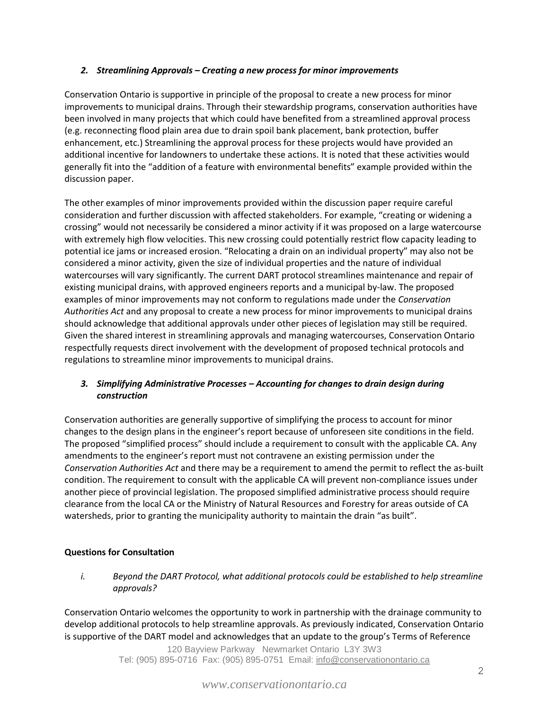#### *2. Streamlining Approvals – Creating a new process for minor improvements*

Conservation Ontario is supportive in principle of the proposal to create a new process for minor improvements to municipal drains. Through their stewardship programs, conservation authorities have been involved in many projects that which could have benefited from a streamlined approval process (e.g. reconnecting flood plain area due to drain spoil bank placement, bank protection, buffer enhancement, etc.) Streamlining the approval process for these projects would have provided an additional incentive for landowners to undertake these actions. It is noted that these activities would generally fit into the "addition of a feature with environmental benefits" example provided within the discussion paper.

The other examples of minor improvements provided within the discussion paper require careful consideration and further discussion with affected stakeholders. For example, "creating or widening a crossing" would not necessarily be considered a minor activity if it was proposed on a large watercourse with extremely high flow velocities. This new crossing could potentially restrict flow capacity leading to potential ice jams or increased erosion. "Relocating a drain on an individual property" may also not be considered a minor activity, given the size of individual properties and the nature of individual watercourses will vary significantly. The current DART protocol streamlines maintenance and repair of existing municipal drains, with approved engineers reports and a municipal by-law. The proposed examples of minor improvements may not conform to regulations made under the *Conservation Authorities Act* and any proposal to create a new process for minor improvements to municipal drains should acknowledge that additional approvals under other pieces of legislation may still be required. Given the shared interest in streamlining approvals and managing watercourses, Conservation Ontario respectfully requests direct involvement with the development of proposed technical protocols and regulations to streamline minor improvements to municipal drains.

#### *3. Simplifying Administrative Processes – Accounting for changes to drain design during construction*

Conservation authorities are generally supportive of simplifying the process to account for minor changes to the design plans in the engineer's report because of unforeseen site conditions in the field. The proposed "simplified process" should include a requirement to consult with the applicable CA. Any amendments to the engineer's report must not contravene an existing permission under the *Conservation Authorities Act* and there may be a requirement to amend the permit to reflect the as-built condition. The requirement to consult with the applicable CA will prevent non-compliance issues under another piece of provincial legislation. The proposed simplified administrative process should require clearance from the local CA or the Ministry of Natural Resources and Forestry for areas outside of CA watersheds, prior to granting the municipality authority to maintain the drain "as built".

#### **Questions for Consultation**

*i. Beyond the DART Protocol, what additional protocols could be established to help streamline approvals?* 

Conservation Ontario welcomes the opportunity to work in partnership with the drainage community to develop additional protocols to help streamline approvals. As previously indicated, Conservation Ontario is supportive of the DART model and acknowledges that an update to the group's Terms of Reference

> 120 Bayview Parkway Newmarket Ontario L3Y 3W3 Tel: (905) 895-0716 Fax: (905) 895-0751 Email: info@conservationontario.ca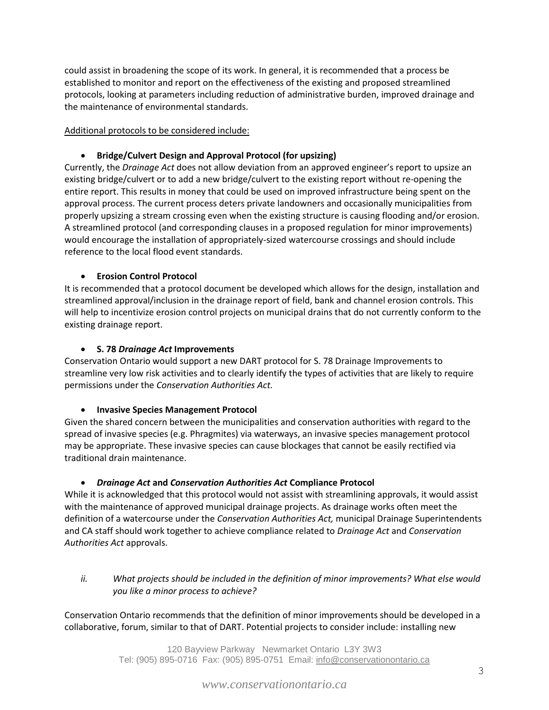could assist in broadening the scope of its work. In general, it is recommended that a process be established to monitor and report on the effectiveness of the existing and proposed streamlined protocols, looking at parameters including reduction of administrative burden, improved drainage and the maintenance of environmental standards.

Additional protocols to be considered include:

#### **Bridge/Culvert Design and Approval Protocol (for upsizing)**

Currently, the *Drainage Act* does not allow deviation from an approved engineer's report to upsize an existing bridge/culvert or to add a new bridge/culvert to the existing report without re-opening the entire report. This results in money that could be used on improved infrastructure being spent on the approval process. The current process deters private landowners and occasionally municipalities from properly upsizing a stream crossing even when the existing structure is causing flooding and/or erosion. A streamlined protocol (and corresponding clauses in a proposed regulation for minor improvements) would encourage the installation of appropriately-sized watercourse crossings and should include reference to the local flood event standards.

#### **Erosion Control Protocol**

It is recommended that a protocol document be developed which allows for the design, installation and streamlined approval/inclusion in the drainage report of field, bank and channel erosion controls. This will help to incentivize erosion control projects on municipal drains that do not currently conform to the existing drainage report.

#### **S. 78** *Drainage Act* **Improvements**

Conservation Ontario would support a new DART protocol for S. 78 Drainage Improvements to streamline very low risk activities and to clearly identify the types of activities that are likely to require permissions under the *Conservation Authorities Act.* 

#### **Invasive Species Management Protocol**

Given the shared concern between the municipalities and conservation authorities with regard to the spread of invasive species (e.g. Phragmites) via waterways, an invasive species management protocol may be appropriate. These invasive species can cause blockages that cannot be easily rectified via traditional drain maintenance.

#### *Drainage Act* **and** *Conservation Authorities Act* **Compliance Protocol**

While it is acknowledged that this protocol would not assist with streamlining approvals, it would assist with the maintenance of approved municipal drainage projects. As drainage works often meet the definition of a watercourse under the *Conservation Authorities Act,* municipal Drainage Superintendents and CA staff should work together to achieve compliance related to *Drainage Act* and *Conservation Authorities Act* approvals.

*ii. What projects should be included in the definition of minor improvements? What else would you like a minor process to achieve?* 

Conservation Ontario recommends that the definition of minor improvements should be developed in a collaborative, forum, similar to that of DART. Potential projects to consider include: installing new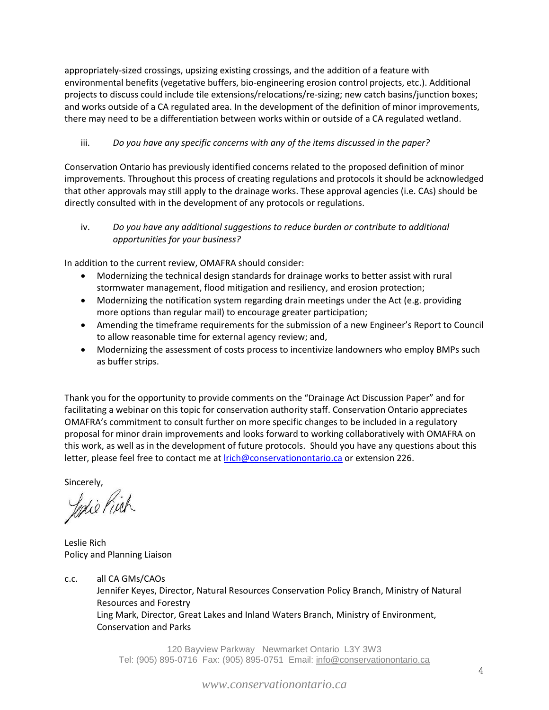appropriately-sized crossings, upsizing existing crossings, and the addition of a feature with environmental benefits (vegetative buffers, bio-engineering erosion control projects, etc.). Additional projects to discuss could include tile extensions/relocations/re-sizing; new catch basins/junction boxes; and works outside of a CA regulated area. In the development of the definition of minor improvements, there may need to be a differentiation between works within or outside of a CA regulated wetland.

#### iii. *Do you have any specific concerns with any of the items discussed in the paper?*

Conservation Ontario has previously identified concerns related to the proposed definition of minor improvements. Throughout this process of creating regulations and protocols it should be acknowledged that other approvals may still apply to the drainage works. These approval agencies (i.e. CAs) should be directly consulted with in the development of any protocols or regulations.

#### iv. *Do you have any additional suggestions to reduce burden or contribute to additional opportunities for your business?*

In addition to the current review, OMAFRA should consider:

- Modernizing the technical design standards for drainage works to better assist with rural stormwater management, flood mitigation and resiliency, and erosion protection;
- Modernizing the notification system regarding drain meetings under the Act (e.g. providing more options than regular mail) to encourage greater participation;
- Amending the timeframe requirements for the submission of a new Engineer's Report to Council to allow reasonable time for external agency review; and,
- Modernizing the assessment of costs process to incentivize landowners who employ BMPs such as buffer strips.

Thank you for the opportunity to provide comments on the "Drainage Act Discussion Paper" and for facilitating a webinar on this topic for conservation authority staff. Conservation Ontario appreciates OMAFRA's commitment to consult further on more specific changes to be included in a regulatory proposal for minor drain improvements and looks forward to working collaboratively with OMAFRA on this work, as well as in the development of future protocols. Should you have any questions about this letter, please feel free to contact me at **Irich@conservationontario.ca** or extension 226.

sincerely,<br>*Jephie Pinek* 

Leslie Rich Policy and Planning Liaison

c.c. all CA GMs/CAOs Jennifer Keyes, Director, Natural Resources Conservation Policy Branch, Ministry of Natural Resources and Forestry Ling Mark, Director, Great Lakes and Inland Waters Branch, Ministry of Environment, Conservation and Parks

> 120 Bayview Parkway Newmarket Ontario L3Y 3W3 Tel: (905) 895-0716 Fax: (905) 895-0751 Email: info@conservationontario.ca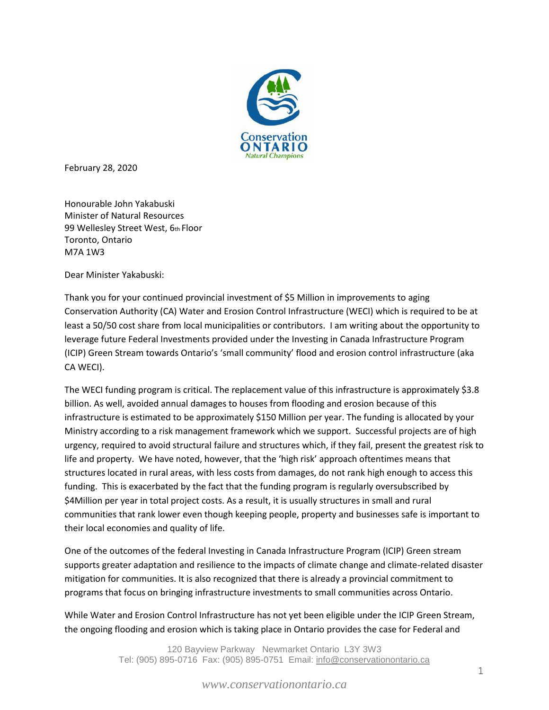

February 28, 2020

Honourable John Yakabuski Minister of Natural Resources 99 Wellesley Street West, 6th Floor Toronto, Ontario M7A 1W3

Dear Minister Yakabuski:

Thank you for your continued provincial investment of \$5 Million in improvements to aging Conservation Authority (CA) Water and Erosion Control Infrastructure (WECI) which is required to be at least a 50/50 cost share from local municipalities or contributors. I am writing about the opportunity to leverage future Federal Investments provided under the Investing in Canada Infrastructure Program (ICIP) Green Stream towards Ontario's 'small community' flood and erosion control infrastructure (aka CA WECI).

The WECI funding program is critical. The replacement value of this infrastructure is approximately \$3.8 billion. As well, avoided annual damages to houses from flooding and erosion because of this infrastructure is estimated to be approximately \$150 Million per year. The funding is allocated by your Ministry according to a risk management framework which we support. Successful projects are of high urgency, required to avoid structural failure and structures which, if they fail, present the greatest risk to life and property. We have noted, however, that the 'high risk' approach oftentimes means that structures located in rural areas, with less costs from damages, do not rank high enough to access this funding. This is exacerbated by the fact that the funding program is regularly oversubscribed by \$4Million per year in total project costs. As a result, it is usually structures in small and rural communities that rank lower even though keeping people, property and businesses safe is important to their local economies and quality of life.

One of the outcomes of the federal Investing in Canada Infrastructure Program (ICIP) Green stream supports greater adaptation and resilience to the impacts of climate change and climate-related disaster mitigation for communities. It is also recognized that there is already a provincial commitment to programs that focus on bringing infrastructure investments to small communities across Ontario.

While Water and Erosion Control Infrastructure has not yet been eligible under the ICIP Green Stream, the ongoing flooding and erosion which is taking place in Ontario provides the case for Federal and

> 120 Bayview Parkway Newmarket Ontario L3Y 3W3 Tel: (905) 895-0716 Fax: (905) 895-0751 Email: info@conservationontario.ca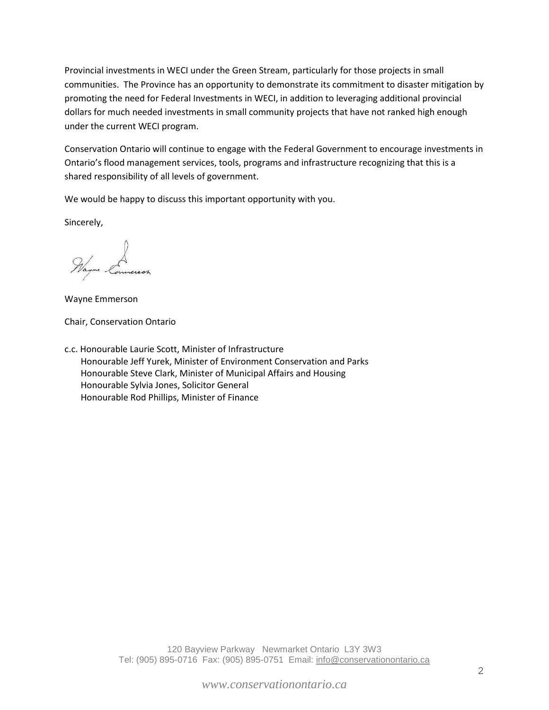Provincial investments in WECI under the Green Stream, particularly for those projects in small communities. The Province has an opportunity to demonstrate its commitment to disaster mitigation by promoting the need for Federal Investments in WECI, in addition to leveraging additional provincial dollars for much needed investments in small community projects that have not ranked high enough under the current WECI program.

Conservation Ontario will continue to engage with the Federal Government to encourage investments in Ontario's flood management services, tools, programs and infrastructure recognizing that this is a shared responsibility of all levels of government.

We would be happy to discuss this important opportunity with you.

Sincerely,

Mayor Connersor

Wayne Emmerson

Chair, Conservation Ontario

c.c. Honourable Laurie Scott, Minister of Infrastructure Honourable Jeff Yurek, Minister of Environment Conservation and Parks Honourable Steve Clark, Minister of Municipal Affairs and Housing Honourable Sylvia Jones, Solicitor General Honourable Rod Phillips, Minister of Finance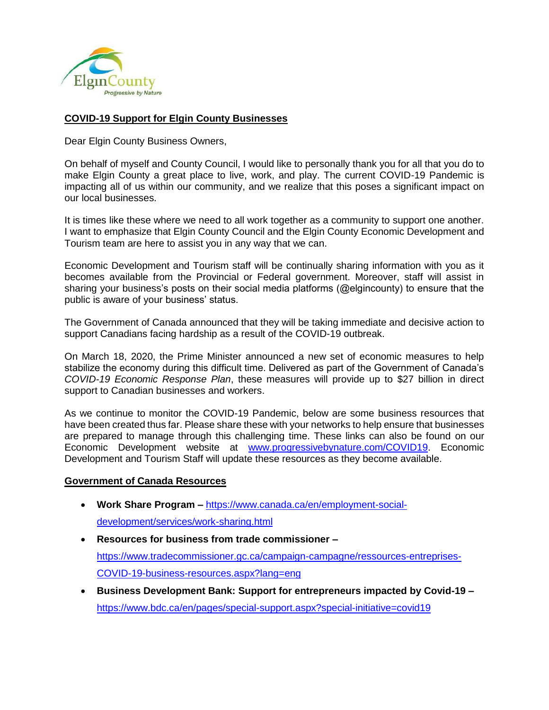

#### **COVID-19 Support for Elgin County Businesses**

Dear Elgin County Business Owners,

On behalf of myself and County Council, I would like to personally thank you for all that you do to make Elgin County a great place to live, work, and play. The current COVID-19 Pandemic is impacting all of us within our community, and we realize that this poses a significant impact on our local businesses.

It is times like these where we need to all work together as a community to support one another. I want to emphasize that Elgin County Council and the Elgin County Economic Development and Tourism team are here to assist you in any way that we can.

Economic Development and Tourism staff will be continually sharing information with you as it becomes available from the Provincial or Federal government. Moreover, staff will assist in sharing your business's posts on their social media platforms (@elgincounty) to ensure that the public is aware of your business' status.

The Government of Canada announced that they will be taking immediate and decisive action to support Canadians facing hardship as a result of the COVID-19 outbreak.

On March 18, 2020, the Prime Minister announced a new set of economic measures to help stabilize the economy during this difficult time. Delivered as part of the Government of Canada's *COVID-19 Economic Response Plan*, these measures will provide up to \$27 billion in direct support to Canadian businesses and workers.

As we continue to monitor the COVID-19 Pandemic, below are some business resources that have been created thus far. Please share these with your networks to help ensure that businesses are prepared to manage through this challenging time. These links can also be found on our Economic Development website at [www.progressivebynature.com/COVID19.](http://www.progressivebynature.com/COVID19) Economic Development and Tourism Staff will update these resources as they become available.

#### **Government of Canada Resources**

- **Work Share Program –** [https://www.canada.ca/en/employment-social](https://www.canada.ca/en/employment-social-development/services/work-sharing.html)[development/services/work-sharing.html](https://www.canada.ca/en/employment-social-development/services/work-sharing.html)
- **Resources for business from trade commissioner –** [https://www.tradecommissioner.gc.ca/campaign-campagne/ressources-entreprises-](https://www.tradecommissioner.gc.ca/campaign-campagne/ressources-entreprises-COVID-19-business-resources.aspx?lang=eng)[COVID-19-business-resources.aspx?lang=eng](https://www.tradecommissioner.gc.ca/campaign-campagne/ressources-entreprises-COVID-19-business-resources.aspx?lang=eng)
- **Business Development Bank: Support for entrepreneurs impacted by Covid-19 –** <https://www.bdc.ca/en/pages/special-support.aspx?special-initiative=covid19>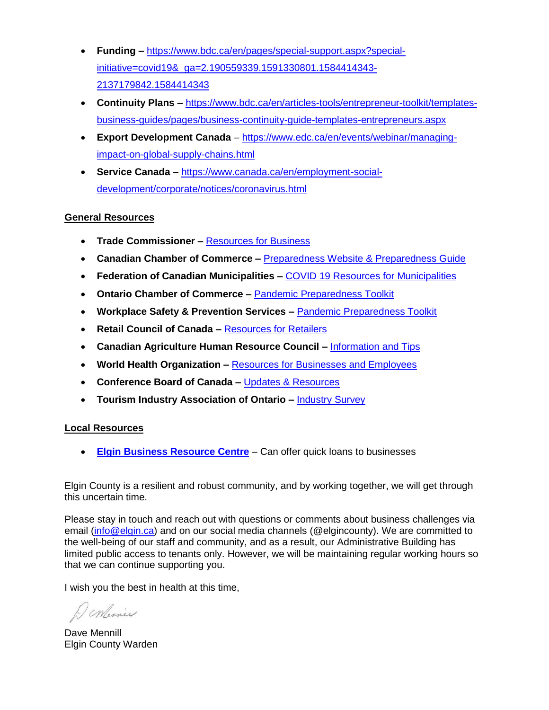- **Funding –** [https://www.bdc.ca/en/pages/special-support.aspx?special](https://www.bdc.ca/en/pages/special-support.aspx?special-initiative=covid19&_ga=2.190559339.1591330801.1584414343-2137179842.1584414343)[initiative=covid19&\\_ga=2.190559339.1591330801.1584414343-](https://www.bdc.ca/en/pages/special-support.aspx?special-initiative=covid19&_ga=2.190559339.1591330801.1584414343-2137179842.1584414343) [2137179842.1584414343](https://www.bdc.ca/en/pages/special-support.aspx?special-initiative=covid19&_ga=2.190559339.1591330801.1584414343-2137179842.1584414343)
- **Continuity Plans –** [https://www.bdc.ca/en/articles-tools/entrepreneur-toolkit/templates](https://www.bdc.ca/en/articles-tools/entrepreneur-toolkit/templates-business-guides/pages/business-continuity-guide-templates-entrepreneurs.aspx)[business-guides/pages/business-continuity-guide-templates-entrepreneurs.aspx](https://www.bdc.ca/en/articles-tools/entrepreneur-toolkit/templates-business-guides/pages/business-continuity-guide-templates-entrepreneurs.aspx)
- **Export Development Canada** [https://www.edc.ca/en/events/webinar/managing](https://www.edc.ca/en/events/webinar/managing-impact-on-global-supply-chains.html)[impact-on-global-supply-chains.html](https://www.edc.ca/en/events/webinar/managing-impact-on-global-supply-chains.html)
- **Service Canada** [https://www.canada.ca/en/employment-social](https://www.canada.ca/en/employment-social-development/corporate/notices/coronavirus.html)[development/corporate/notices/coronavirus.html](https://www.canada.ca/en/employment-social-development/corporate/notices/coronavirus.html)

### **General Resources**

- **Trade Commissioner –** [Resources for Business](https://www.canada.ca/en/services/business/maintaingrowimprovebusiness/resources-for-canadian-businesses.html)
- **Canadian Chamber of Commerce –** [Preparedness Website & Preparedness Guide](http://chamber.ca/resources/pandemic-preparedness/%20and%20http:/www.chamber.ca/resources/pandemic-preparedness/BusinessPrepGuidePanPrep2020)
- **Federation of Canadian Municipalities –** [COVID 19 Resources for Municipalities](https://fcm.ca/en/resources/covid-19-resources-municipalities?_cldee=a2J1cm5zQGVsZ2luLmNh&recipientid=contact-8df7070cab67ea1180d0005056bc7996-26b620d6667644fcbf9afad5fc501075&esid=08e5f5aa-6365-ea11-80d0-005056bc7996)
- **Ontario Chamber of Commerce –** [Pandemic Preparedness Toolkit](https://occ.ca/wp-content/uploads/OCC-Pandemic-Preparedness-Toolkit-for-COVID-19_final.pdf)
- **Workplace Safety & Prevention Services –** [Pandemic Preparedness Toolkit](https://www.wsps.ca/WSPS/media/Site/Resources/Downloads/Bsnss_Pndmc_Prprdnss_Chcklst_FINAL.pdf?ext=.pdf)
- **Retail Council of Canada –** [Resources for Retailers](https://www.retailcouncil.org/coronavirus-info-for-retailers/)
- **Canadian Agriculture Human Resource Council –** [Information and Tips](https://cahrc-ccrha.ca/programs/emerging-agriworkforce-issues/information-and-updates-coronavirus-covid-19?utm_source=CAHRC+-+CCRHA+Mailing+List&utm_campaign=1f4e489d16-EMAIL_CAMPAIGN_2017_12_14_COPY_02&utm_medium=email&utm_term=0_c2d791d1b6-1f4e489d16-172675529&mc_cid=1f4e489d16&mc_eid=1af5ab0c96)
- World Health Organization [Resources for Businesses and Employees](•%09https:/www.epi-win.com/advice-and-information/business-and-employees)
- **Conference Board of Canada –** [Updates & Resources](https://www.conferenceboard.ca/(X(1)S(qxr0cyscwydrk4qivyxfky0t))/insights/covid-19?utm_source=COVID-19&utm_medium=EMAIL&utm_campaign=COVID19FREERESOURCESMAR17.20&mkt_tok=eyJpIjoiWkRGbVlUWmlZelV4WmpSbCIsInQiOiJTZjdPMGdMMHJtcnNDTDM1ZHVQNlkrekhyTTJJQUhveGV0alVWSTZ0eHJneG1ISGRtUjlLcjJGUFFBa0M4MWc0SHY3elZCT1lrd2ZyQ203eHUzZTI5ZzJiS2NGbFhOODdDZkZxaG9Cb29kazRVdHhxNnlIZDAydWFCT0lVRVJaZiJ9&AspxAutoDetectCookieSupport=1)
- **Tourism Industry Association of Ontario –** [Industry Survey](https://www.surveymonkey.com/r/HXXC9Y6)

### **Local Resources**

• **[Elgin Business Resource Centre](https://www.elginbusinessresourcecentre.com/)** – Can offer quick loans to businesses

Elgin County is a resilient and robust community, and by working together, we will get through this uncertain time.

Please stay in touch and reach out with questions or comments about business challenges via email [\(info@elgin.ca\)](mailto:info@elgin.ca) and on our social media channels (@elgincounty). We are committed to the well-being of our staff and community, and as a result, our Administrative Building has limited public access to tenants only. However, we will be maintaining regular working hours so that we can continue supporting you.

I wish you the best in health at this time,

DeMinie

Dave Mennill Elgin County Warden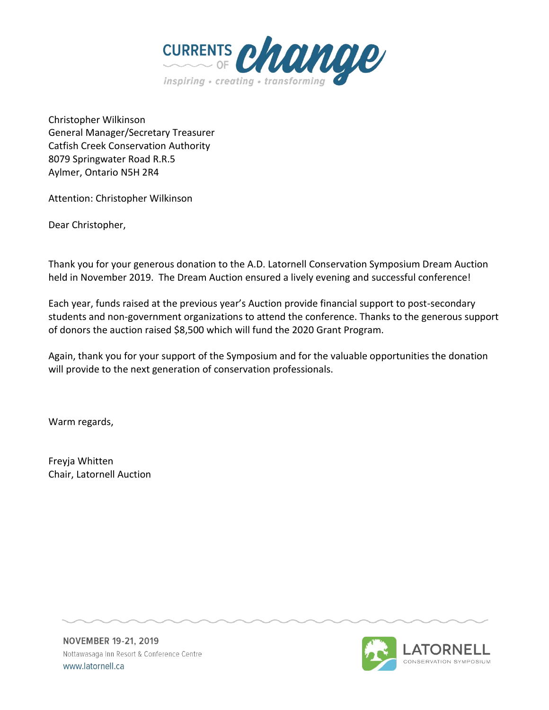

Christopher Wilkinson General Manager/Secretary Treasurer Catfish Creek Conservation Authority 8079 Springwater Road R.R.5 Aylmer, Ontario N5H 2R4

Attention: Christopher Wilkinson

Dear Christopher,

Thank you for your generous donation to the A.D. Latornell Conservation Symposium Dream Auction held in November 2019. The Dream Auction ensured a lively evening and successful conference!

Each year, funds raised at the previous year's Auction provide financial support to post-secondary students and non-government organizations to attend the conference. Thanks to the generous support of donors the auction raised \$8,500 which will fund the 2020 Grant Program.

Again, thank you for your support of the Symposium and for the valuable opportunities the donation will provide to the next generation of conservation professionals.

Warm regards,

Freyja Whitten Chair, Latornell Auction

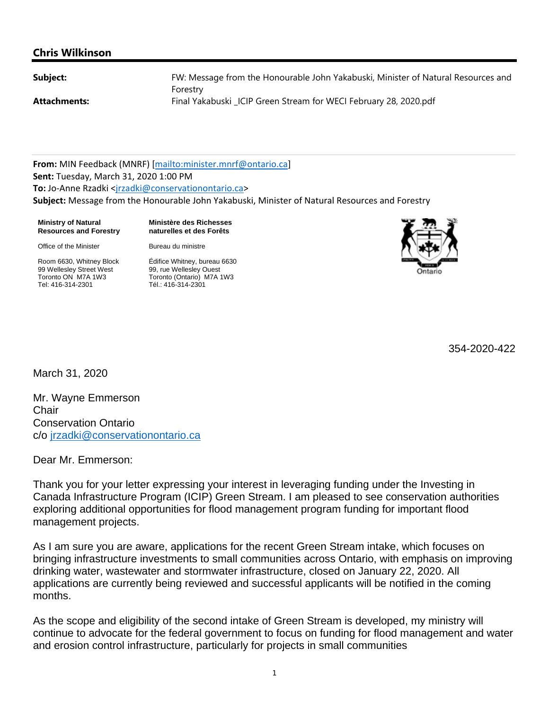#### **Chris Wilkinson**

FW: Message from the Honourable John Yakabuski, Minister of Natural Resources and Forestry Attachments: Final Yakabuski LCIP Green Stream for WECI February 28, 2020.pdf

**From:** MIN Feedback (MNRF) [mailto:minister.mnrf@ontario.ca] **Sent:** Tuesday, March 31, 2020 1:00 PM **To:** Jo‐Anne Rzadki <jrzadki@conservationontario.ca> **Subject:** Message from the Honourable John Yakabuski, Minister of Natural Resources and Forestry

**Ministry of Natural Resources and Forestry** **Ministère des Richesses naturelles et des Forêts**

Office of the Minister

Bureau du ministre

Room 6630, Whitney Block 99 Wellesley Street West Toronto ON M7A 1W3 Tel: 416-314-2301

Édifice Whitney, bureau 6630 99, rue Wellesley Ouest Toronto (Ontario) M7A 1W3 Tél.: 416-314-2301



354-2020-422

March 31, 2020

Mr. Wayne Emmerson **Chair** Conservation Ontario c/o jrzadki@conservationontario.ca

Dear Mr. Emmerson:

Thank you for your letter expressing your interest in leveraging funding under the Investing in Canada Infrastructure Program (ICIP) Green Stream. I am pleased to see conservation authorities exploring additional opportunities for flood management program funding for important flood management projects.

As I am sure you are aware, applications for the recent Green Stream intake, which focuses on bringing infrastructure investments to small communities across Ontario, with emphasis on improving drinking water, wastewater and stormwater infrastructure, closed on January 22, 2020. All applications are currently being reviewed and successful applicants will be notified in the coming months.

As the scope and eligibility of the second intake of Green Stream is developed, my ministry will continue to advocate for the federal government to focus on funding for flood management and water and erosion control infrastructure, particularly for projects in small communities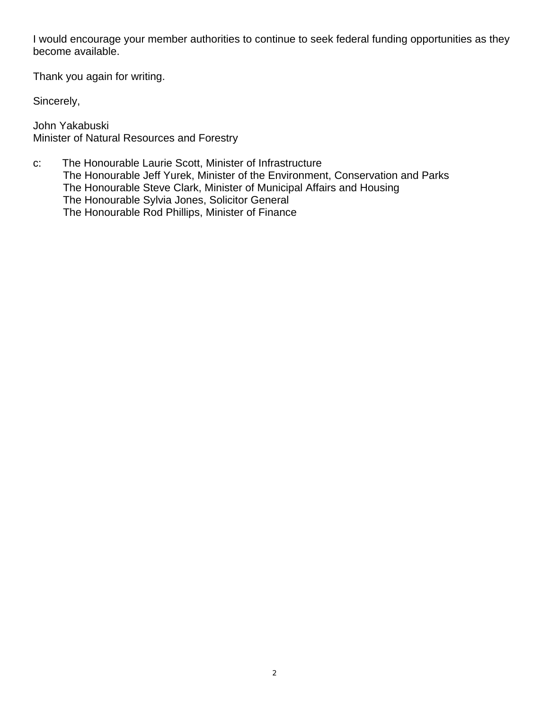I would encourage your member authorities to continue to seek federal funding opportunities as they become available.

Thank you again for writing.

Sincerely,

John Yakabuski Minister of Natural Resources and Forestry

c: The Honourable Laurie Scott, Minister of Infrastructure The Honourable Jeff Yurek, Minister of the Environment, Conservation and Parks The Honourable Steve Clark, Minister of Municipal Affairs and Housing The Honourable Sylvia Jones, Solicitor General The Honourable Rod Phillips, Minister of Finance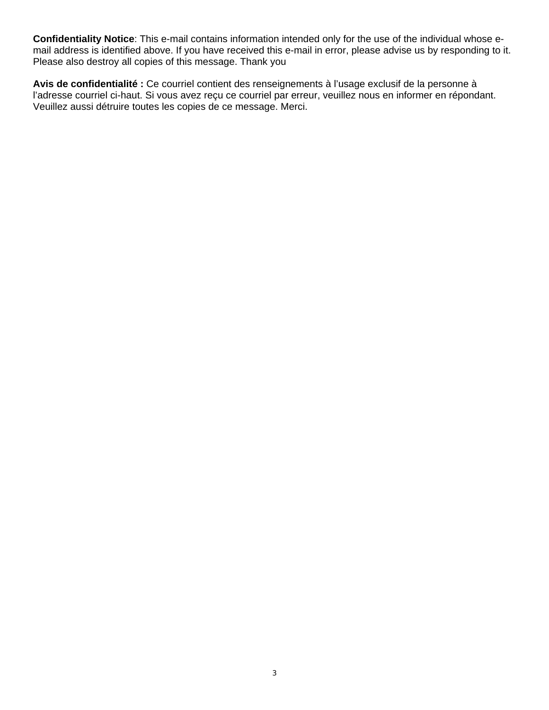**Confidentiality Notice**: This e-mail contains information intended only for the use of the individual whose email address is identified above. If you have received this e-mail in error, please advise us by responding to it. Please also destroy all copies of this message. Thank you

**Avis de confidentialité :** Ce courriel contient des renseignements à l'usage exclusif de la personne à l'adresse courriel ci-haut. Si vous avez reçu ce courriel par erreur, veuillez nous en informer en répondant. Veuillez aussi détruire toutes les copies de ce message. Merci.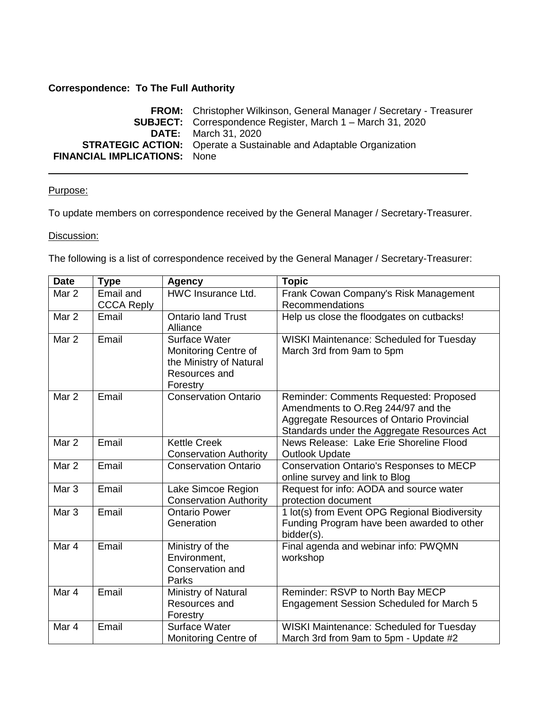#### **Correspondence: To The Full Authority**

**FROM:** Christopher Wilkinson, General Manager / Secretary - Treasurer **SUBJECT:** Correspondence Register, March 1 – March 31, 2020 **DATE:** March 31, 2020 **STRATEGIC ACTION:** Operate a Sustainable and Adaptable Organization **FINANCIAL IMPLICATIONS:** None

#### Purpose:

To update members on correspondence received by the General Manager / Secretary-Treasurer.

#### Discussion:

The following is a list of correspondence received by the General Manager / Secretary-Treasurer:

| <b>Date</b>      | <b>Type</b>       | <b>Agency</b>                 | <b>Topic</b>                                                                           |
|------------------|-------------------|-------------------------------|----------------------------------------------------------------------------------------|
| Mar 2            | Email and         | HWC Insurance Ltd.            | Frank Cowan Company's Risk Management                                                  |
|                  | <b>CCCA Reply</b> |                               | Recommendations                                                                        |
| Mar 2            | Email             | Ontario land Trust            | Help us close the floodgates on cutbacks!                                              |
|                  |                   | Alliance                      |                                                                                        |
| Mar 2            | Email             | Surface Water                 | WISKI Maintenance: Scheduled for Tuesday                                               |
|                  |                   | Monitoring Centre of          | March 3rd from 9am to 5pm                                                              |
|                  |                   | the Ministry of Natural       |                                                                                        |
|                  |                   | Resources and                 |                                                                                        |
|                  |                   | Forestry                      |                                                                                        |
| Mar 2            | Email             | <b>Conservation Ontario</b>   | Reminder: Comments Requested: Proposed                                                 |
|                  |                   |                               | Amendments to O.Reg 244/97 and the                                                     |
|                  |                   |                               | Aggregate Resources of Ontario Provincial                                              |
| Mar <sub>2</sub> | Email             | <b>Kettle Creek</b>           | Standards under the Aggregate Resources Act<br>News Release: Lake Erie Shoreline Flood |
|                  |                   | <b>Conservation Authority</b> | <b>Outlook Update</b>                                                                  |
| Mar 2            | Email             | <b>Conservation Ontario</b>   | Conservation Ontario's Responses to MECP                                               |
|                  |                   |                               | online survey and link to Blog                                                         |
| Mar <sub>3</sub> | Email             | Lake Simcoe Region            | Request for info: AODA and source water                                                |
|                  |                   | <b>Conservation Authority</b> | protection document                                                                    |
| Mar <sub>3</sub> | Email             | <b>Ontario Power</b>          | 1 lot(s) from Event OPG Regional Biodiversity                                          |
|                  |                   | Generation                    | Funding Program have been awarded to other                                             |
|                  |                   |                               | bidder(s).                                                                             |
| Mar 4            | Email             | Ministry of the               | Final agenda and webinar info: PWQMN                                                   |
|                  |                   | Environment,                  | workshop                                                                               |
|                  |                   | Conservation and              |                                                                                        |
|                  |                   | Parks                         |                                                                                        |
| Mar 4            | Email             | Ministry of Natural           | Reminder: RSVP to North Bay MECP                                                       |
|                  |                   | Resources and                 | Engagement Session Scheduled for March 5                                               |
|                  |                   | Forestry                      |                                                                                        |
| Mar 4            | Email             | Surface Water                 | WISKI Maintenance: Scheduled for Tuesday                                               |
|                  |                   | Monitoring Centre of          | March 3rd from 9am to 5pm - Update #2                                                  |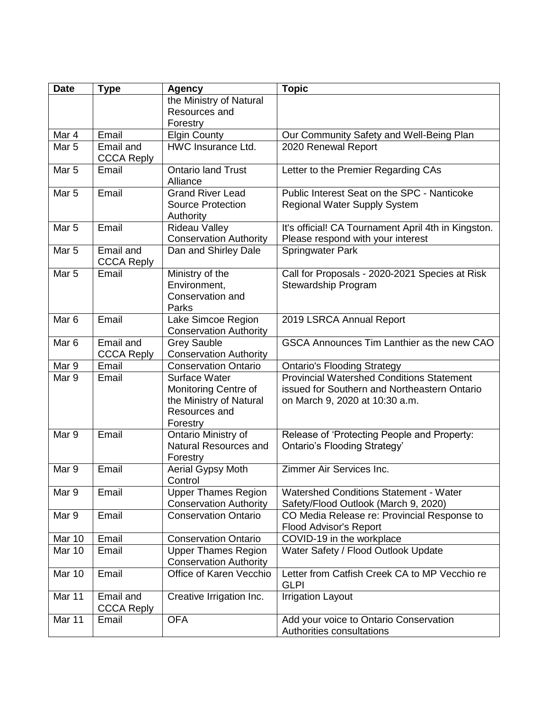| <b>Date</b>      | <b>Type</b>       | <b>Agency</b>                                            | <b>Topic</b>                                                        |
|------------------|-------------------|----------------------------------------------------------|---------------------------------------------------------------------|
|                  |                   | the Ministry of Natural                                  |                                                                     |
|                  |                   | Resources and                                            |                                                                     |
|                  |                   | Forestry                                                 |                                                                     |
| Mar 4            | Email             | <b>Elgin County</b>                                      | Our Community Safety and Well-Being Plan                            |
| Mar <sub>5</sub> | Email and         | <b>HWC</b> Insurance Ltd.                                | 2020 Renewal Report                                                 |
|                  | <b>CCCA Reply</b> |                                                          |                                                                     |
| Mar <sub>5</sub> | Email             | <b>Ontario land Trust</b>                                | Letter to the Premier Regarding CAs                                 |
|                  |                   | Alliance                                                 |                                                                     |
| Mar <sub>5</sub> | Email             | <b>Grand River Lead</b>                                  | Public Interest Seat on the SPC - Nanticoke                         |
|                  |                   | <b>Source Protection</b>                                 | <b>Regional Water Supply System</b>                                 |
|                  |                   | Authority                                                |                                                                     |
| Mar <sub>5</sub> | Email             | <b>Rideau Valley</b>                                     | It's official! CA Tournament April 4th in Kingston.                 |
|                  |                   | <b>Conservation Authority</b>                            | Please respond with your interest                                   |
| Mar <sub>5</sub> | Email and         | Dan and Shirley Dale                                     | <b>Springwater Park</b>                                             |
|                  | <b>CCCA Reply</b> |                                                          |                                                                     |
| Mar <sub>5</sub> | Email             | Ministry of the                                          | Call for Proposals - 2020-2021 Species at Risk                      |
|                  |                   | Environment,                                             | Stewardship Program                                                 |
|                  |                   | Conservation and                                         |                                                                     |
|                  |                   | Parks                                                    |                                                                     |
| Mar <sub>6</sub> | Email             | Lake Simcoe Region                                       | 2019 LSRCA Annual Report                                            |
|                  |                   | <b>Conservation Authority</b>                            |                                                                     |
| Mar <sub>6</sub> | Email and         | <b>Grey Sauble</b>                                       | GSCA Announces Tim Lanthier as the new CAO                          |
|                  | <b>CCCA Reply</b> | <b>Conservation Authority</b>                            |                                                                     |
| Mar 9            | Email             | <b>Conservation Ontario</b>                              | <b>Ontario's Flooding Strategy</b>                                  |
| Mar 9            | Email             | Surface Water                                            | <b>Provincial Watershed Conditions Statement</b>                    |
|                  |                   | Monitoring Centre of                                     | issued for Southern and Northeastern Ontario                        |
|                  |                   | the Ministry of Natural                                  | on March 9, 2020 at 10:30 a.m.                                      |
|                  |                   | Resources and                                            |                                                                     |
|                  |                   | Forestry                                                 |                                                                     |
| Mar 9            | Email             | Ontario Ministry of                                      | Release of 'Protecting People and Property:                         |
|                  |                   | Natural Resources and                                    | Ontario's Flooding Strategy'                                        |
|                  |                   | Forestry                                                 |                                                                     |
| Mar 9            | Email             | <b>Aerial Gypsy Moth</b>                                 | Zimmer Air Services Inc.                                            |
|                  |                   | Control                                                  |                                                                     |
| Mar 9            | Email             | <b>Upper Thames Region</b>                               | <b>Watershed Conditions Statement - Water</b>                       |
|                  |                   | <b>Conservation Authority</b>                            | Safety/Flood Outlook (March 9, 2020)                                |
| Mar 9            | Email             | <b>Conservation Ontario</b>                              | CO Media Release re: Provincial Response to                         |
|                  |                   |                                                          | <b>Flood Advisor's Report</b>                                       |
| Mar 10           | Email             | <b>Conservation Ontario</b>                              | COVID-19 in the workplace                                           |
| Mar 10           | Email             | <b>Upper Thames Region</b>                               | Water Safety / Flood Outlook Update                                 |
|                  | Email             | <b>Conservation Authority</b><br>Office of Karen Vecchio | Letter from Catfish Creek CA to MP Vecchio re                       |
| Mar 10           |                   |                                                          |                                                                     |
| Mar 11           | Email and         |                                                          | <b>GLPI</b>                                                         |
|                  |                   | Creative Irrigation Inc.                                 | <b>Irrigation Layout</b>                                            |
|                  | <b>CCCA Reply</b> |                                                          |                                                                     |
| Mar 11           | Email             | <b>OFA</b>                                               | Add your voice to Ontario Conservation<br>Authorities consultations |
|                  |                   |                                                          |                                                                     |